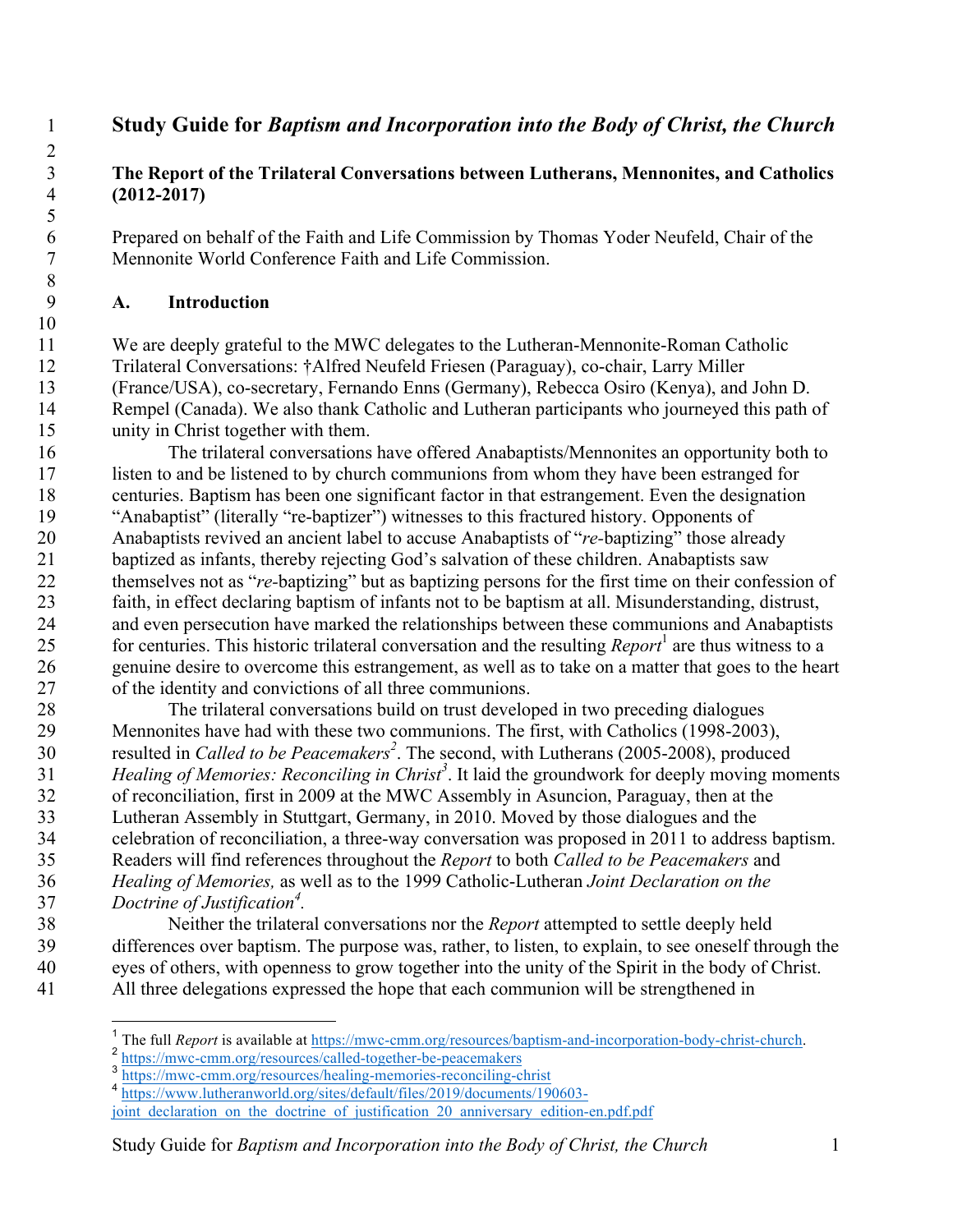# **Study Guide for** *Baptism and Incorporation into the Body of Christ, the Church*

# **The Report of the Trilateral Conversations between Lutherans, Mennonites, and Catholics (2012-2017)**

6 Prepared on behalf of the Faith and Life Commission by Thomas Yoder Neufeld, Chair of the<br>7 Mennonite World Conference Faith and Life Commission. Mennonite World Conference Faith and Life Commission.

# **A. Introduction**

 We are deeply grateful to the MWC delegates to the Lutheran-Mennonite-Roman Catholic Trilateral Conversations: †Alfred Neufeld Friesen (Paraguay), co-chair, Larry Miller (France/USA), co-secretary, Fernando Enns (Germany), Rebecca Osiro (Kenya), and John D. Rempel (Canada). We also thank Catholic and Lutheran participants who journeyed this path of unity in Christ together with them.

 The trilateral conversations have offered Anabaptists/Mennonites an opportunity both to listen to and be listened to by church communions from whom they have been estranged for centuries. Baptism has been one significant factor in that estrangement. Even the designation "Anabaptist" (literally "re-baptizer") witnesses to this fractured history. Opponents of Anabaptists revived an ancient label to accuse Anabaptists of "*re-*baptizing" those already baptized as infants, thereby rejecting God's salvation of these children. Anabaptists saw themselves not as "*re-*baptizing" but as baptizing persons for the first time on their confession of faith, in effect declaring baptism of infants not to be baptism at all. Misunderstanding, distrust, and even persecution have marked the relationships between these communions and Anabaptists for centuries. This historic trilateral conversation and the resulting *Report*<sup>1</sup> are thus witness to a genuine desire to overcome this estrangement, as well as to take on a matter that goes to the heart of the identity and convictions of all three communions.

 The trilateral conversations build on trust developed in two preceding dialogues Mennonites have had with these two communions. The first, with Catholics (1998-2003), resulted in *Called to be Peacemakers<sup>2</sup>* . The second, with Lutherans (2005-2008), produced *Healing of Memories: Reconciling in Christ<sup>3</sup>* . It laid the groundwork for deeply moving moments of reconciliation, first in 2009 at the MWC Assembly in Asuncion, Paraguay, then at the Lutheran Assembly in Stuttgart, Germany, in 2010. Moved by those dialogues and the celebration of reconciliation, a three-way conversation was proposed in 2011 to address baptism. Readers will find references throughout the *Report* to both *Called to be Peacemakers* and *Healing of Memories,* as well as to the 1999 Catholic-Lutheran *Joint Declaration on the Doctrine of Justification<sup>4</sup> .*

 Neither the trilateral conversations nor the *Report* attempted to settle deeply held differences over baptism. The purpose was, rather, to listen, to explain, to see oneself through the eyes of others, with openness to grow together into the unity of the Spirit in the body of Christ. All three delegations expressed the hope that each communion will be strengthened in

<sup>&</sup>lt;sup>1</sup> The full *Report* is available at https://mwc-cmm.org/resources/baptism-and-incorporation-body-christ-church.<br> $\frac{2}{3}$  https://mwc-cmm.org/resources/called-together-be-peacemakers<br> $\frac{2}{3}$  https://mwc-cmm.org/resour

 https://www.lutheranworld.org/sites/default/files/2019/documents/190603 joint declaration on the doctrine of justification 20 anniversary edition-en.pdf.pdf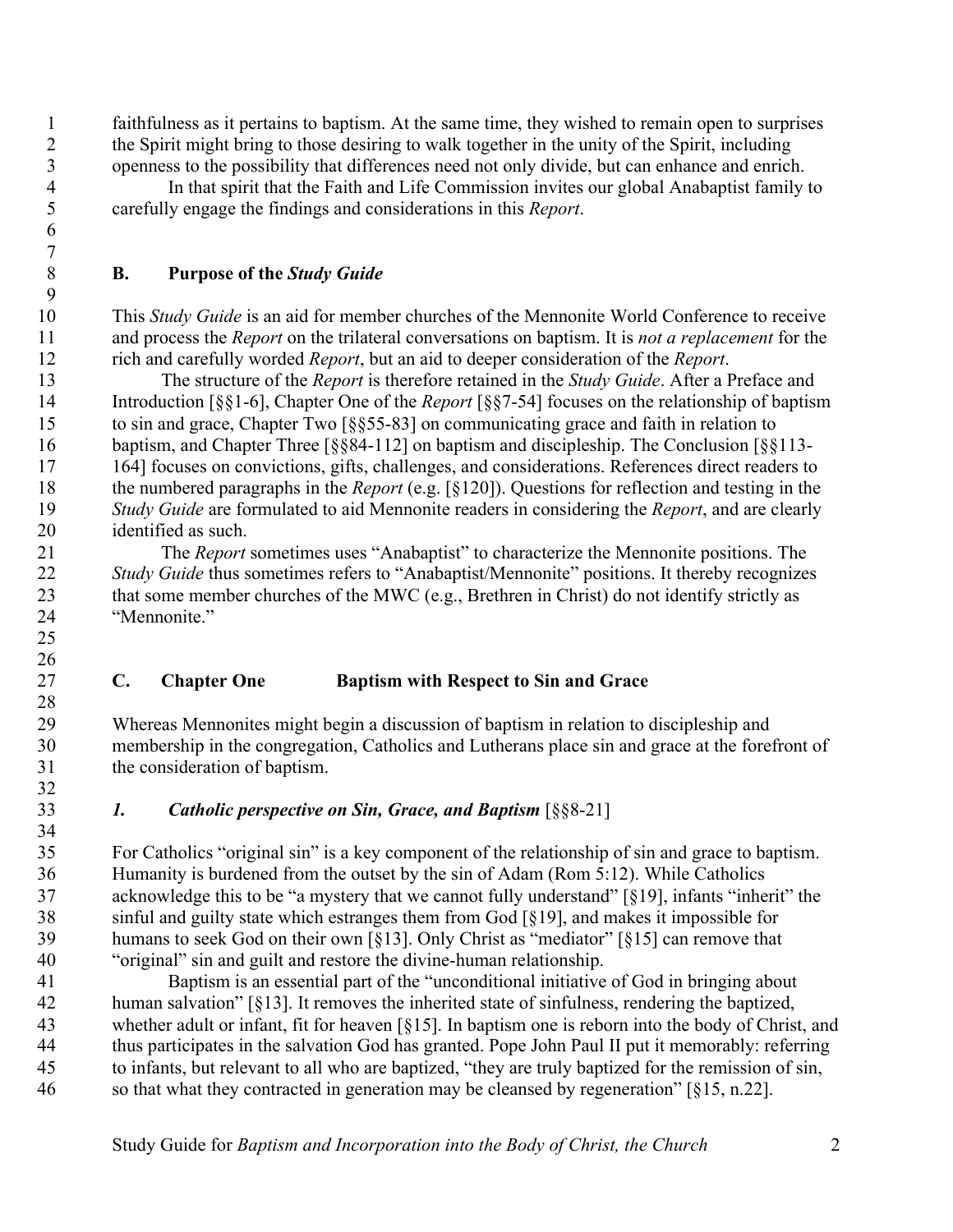faithfulness as it pertains to baptism. At the same time, they wished to remain open to surprises the Spirit might bring to those desiring to walk together in the unity of the Spirit, including openness to the possibility that differences need not only divide, but can enhance and enrich.

 In that spirit that the Faith and Life Commission invites our global Anabaptist family to carefully engage the findings and considerations in this *Report*.

# **B. Purpose of the** *Study Guide*

 

 

 This *Study Guide* is an aid for member churches of the Mennonite World Conference to receive and process the *Report* on the trilateral conversations on baptism. It is *not a replacement* for the rich and carefully worded *Report*, but an aid to deeper consideration of the *Report*.

 The structure of the *Report* is therefore retained in the *Study Guide*. After a Preface and Introduction [§§1-6], Chapter One of the *Report* [§§7-54] focuses on the relationship of baptism to sin and grace, Chapter Two [§§55-83] on communicating grace and faith in relation to baptism, and Chapter Three [§§84-112] on baptism and discipleship. The Conclusion [§§113- 164] focuses on convictions, gifts, challenges, and considerations. References direct readers to the numbered paragraphs in the *Report* (e.g. [§120]). Questions for reflection and testing in the *Study Guide* are formulated to aid Mennonite readers in considering the *Report*, and are clearly identified as such.

 The *Report* sometimes uses "Anabaptist" to characterize the Mennonite positions. The *Study Guide* thus sometimes refers to "Anabaptist/Mennonite" positions. It thereby recognizes 23 that some member churches of the MWC (e.g., Brethren in Christ) do not identify strictly as "Mennonite."

# **C. Chapter One Baptism with Respect to Sin and Grace**

 Whereas Mennonites might begin a discussion of baptism in relation to discipleship and membership in the congregation, Catholics and Lutherans place sin and grace at the forefront of the consideration of baptism.

*1. Catholic perspective on Sin, Grace, and Baptism* [§§8-21]

 For Catholics "original sin" is a key component of the relationship of sin and grace to baptism. Humanity is burdened from the outset by the sin of Adam (Rom 5:12). While Catholics acknowledge this to be "a mystery that we cannot fully understand" [§19], infants "inherit" the sinful and guilty state which estranges them from God [§19], and makes it impossible for humans to seek God on their own [§13]. Only Christ as "mediator" [§15] can remove that "original" sin and guilt and restore the divine-human relationship.

 Baptism is an essential part of the "unconditional initiative of God in bringing about human salvation" [§13]. It removes the inherited state of sinfulness, rendering the baptized, whether adult or infant, fit for heaven [§15]. In baptism one is reborn into the body of Christ, and thus participates in the salvation God has granted. Pope John Paul II put it memorably: referring to infants, but relevant to all who are baptized, "they are truly baptized for the remission of sin, so that what they contracted in generation may be cleansed by regeneration" [§15, n.22].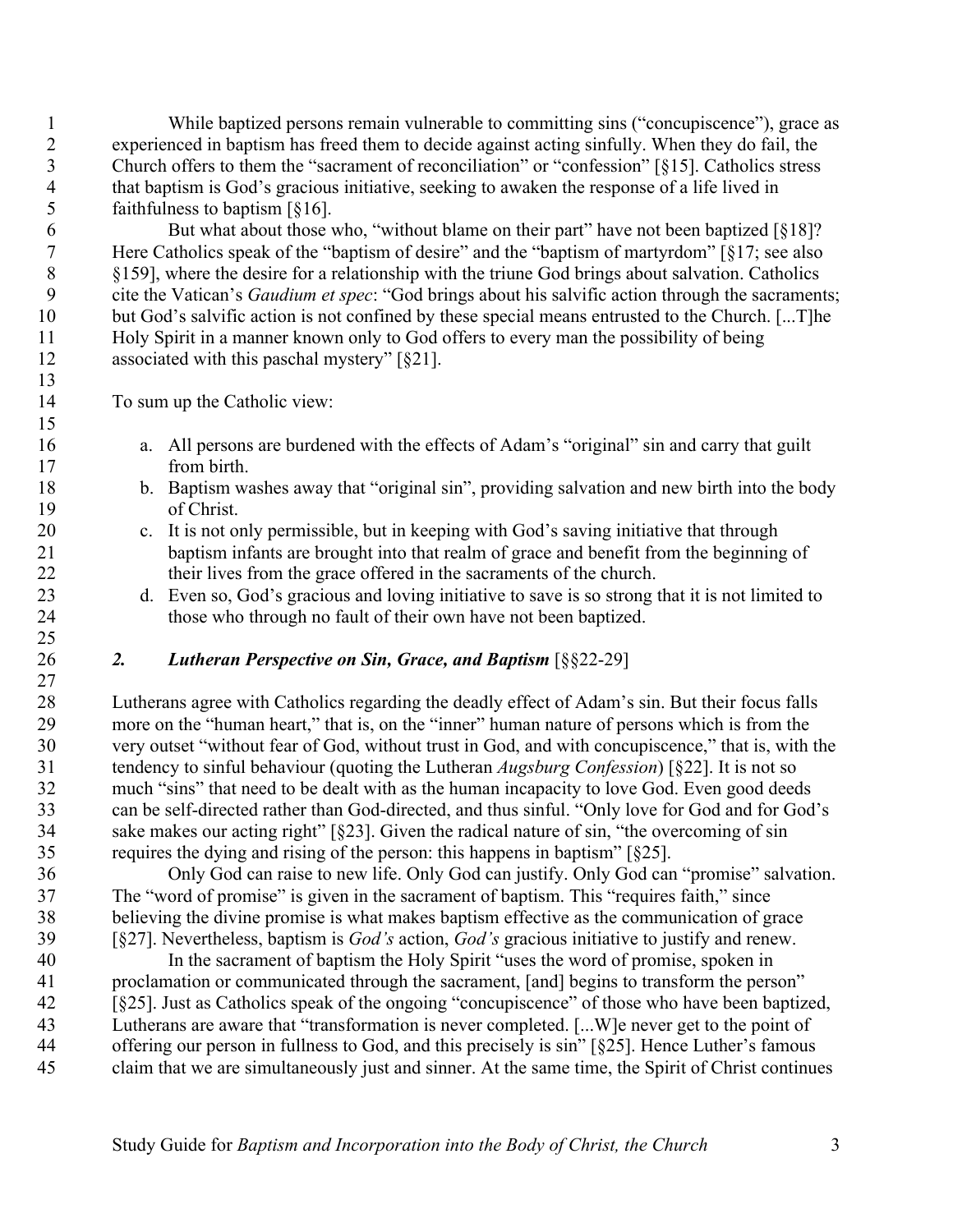While baptized persons remain vulnerable to committing sins ("concupiscence"), grace as experienced in baptism has freed them to decide against acting sinfully. When they do fail, the Church offers to them the "sacrament of reconciliation" or "confession" [§15]. Catholics stress that baptism is God's gracious initiative, seeking to awaken the response of a life lived in faithfulness to baptism [§16].

6 But what about those who, "without blame on their part" have not been baptized [§18]? Here Catholics speak of the "baptism of desire" and the "baptism of martyrdom" [§17; see also §159], where the desire for a relationship with the triune God brings about salvation. Catholics cite the Vatican's *Gaudium et spec*: "God brings about his salvific action through the sacraments; but God's salvific action is not confined by these special means entrusted to the Church. [...T]he Holy Spirit in a manner known only to God offers to every man the possibility of being associated with this paschal mystery" [§21]. 

To sum up the Catholic view:

- a. All persons are burdened with the effects of Adam's "original" sin and carry that guilt from birth.
- b. Baptism washes away that "original sin", providing salvation and new birth into the body of Christ.
- c. It is not only permissible, but in keeping with God's saving initiative that through baptism infants are brought into that realm of grace and benefit from the beginning of their lives from the grace offered in the sacraments of the church.
- d. Even so, God's gracious and loving initiative to save is so strong that it is not limited to those who through no fault of their own have not been baptized.

# *2. Lutheran Perspective on Sin, Grace, and Baptism* [§§22-29]

 Lutherans agree with Catholics regarding the deadly effect of Adam's sin. But their focus falls more on the "human heart," that is, on the "inner" human nature of persons which is from the very outset "without fear of God, without trust in God, and with concupiscence," that is, with the tendency to sinful behaviour (quoting the Lutheran *Augsburg Confession*) [§22]. It is not so much "sins" that need to be dealt with as the human incapacity to love God. Even good deeds can be self-directed rather than God-directed, and thus sinful. "Only love for God and for God's sake makes our acting right" [§23]. Given the radical nature of sin, "the overcoming of sin requires the dying and rising of the person: this happens in baptism" [§25].

 Only God can raise to new life. Only God can justify. Only God can "promise" salvation. The "word of promise" is given in the sacrament of baptism. This "requires faith," since believing the divine promise is what makes baptism effective as the communication of grace [§27]. Nevertheless, baptism is *God's* action, *God's* gracious initiative to justify and renew.

 In the sacrament of baptism the Holy Spirit "uses the word of promise, spoken in proclamation or communicated through the sacrament, [and] begins to transform the person" [§25]. Just as Catholics speak of the ongoing "concupiscence" of those who have been baptized, Lutherans are aware that "transformation is never completed. [...W]e never get to the point of offering our person in fullness to God, and this precisely is sin" [§25]. Hence Luther's famous claim that we are simultaneously just and sinner. At the same time, the Spirit of Christ continues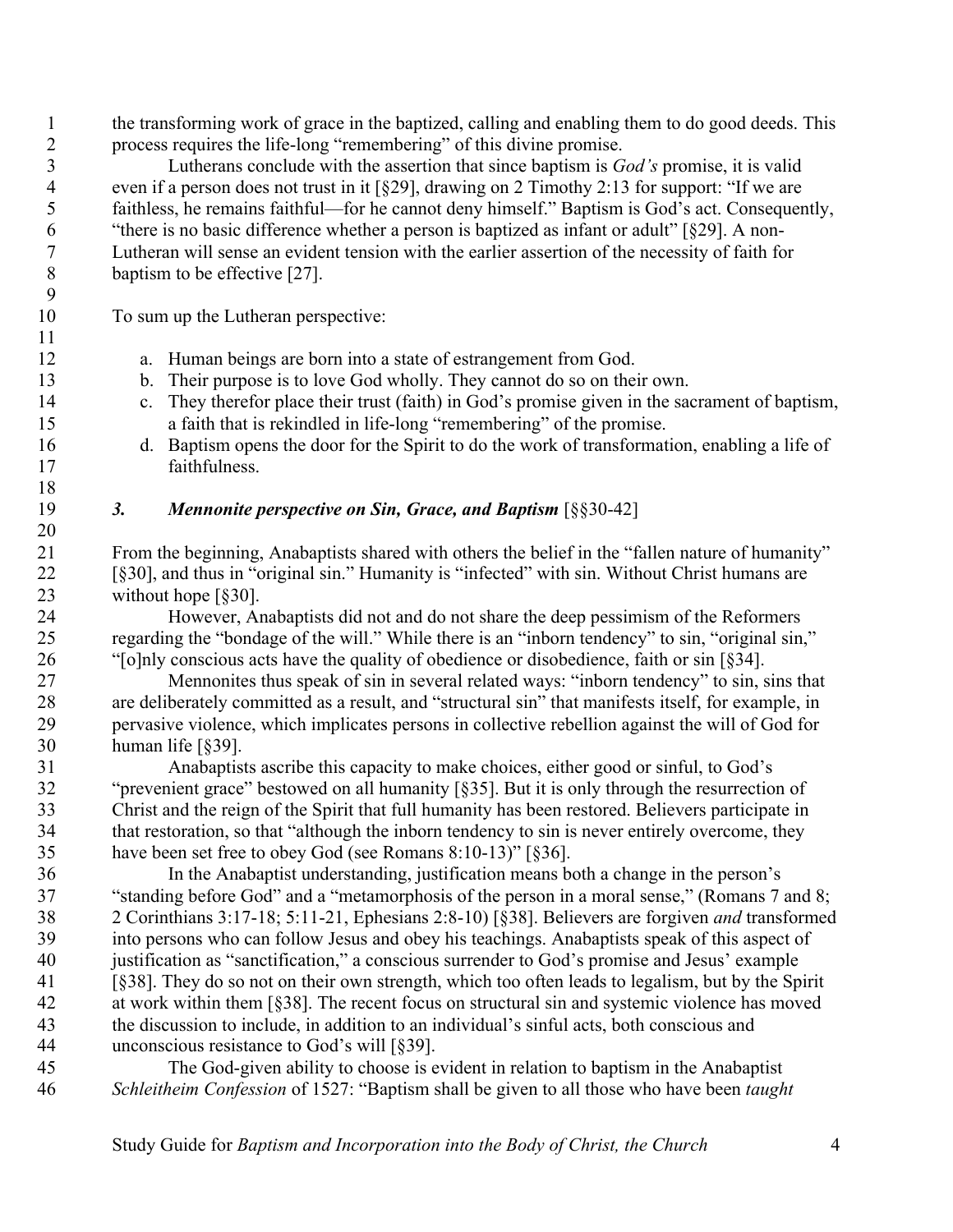the transforming work of grace in the baptized, calling and enabling them to do good deeds. This process requires the life-long "remembering" of this divine promise.

 Lutherans conclude with the assertion that since baptism is *God's* promise, it is valid even if a person does not trust in it [§29], drawing on 2 Timothy 2:13 for support: "If we are faithless, he remains faithful—for he cannot deny himself." Baptism is God's act. Consequently, "there is no basic difference whether a person is baptized as infant or adult" [§29]. A non- Lutheran will sense an evident tension with the earlier assertion of the necessity of faith for baptism to be effective [27].

To sum up the Lutheran perspective:

- a. Human beings are born into a state of estrangement from God.
- b. Their purpose is to love God wholly. They cannot do so on their own.
- c. They therefor place their trust (faith) in God's promise given in the sacrament of baptism, a faith that is rekindled in life-long "remembering" of the promise.
- d. Baptism opens the door for the Spirit to do the work of transformation, enabling a life of faithfulness.

# *3. Mennonite perspective on Sin, Grace, and Baptism* [§§30-42]

 From the beginning, Anabaptists shared with others the belief in the "fallen nature of humanity" [§30], and thus in "original sin." Humanity is "infected" with sin. Without Christ humans are 23 without hope [§30].

 However, Anabaptists did not and do not share the deep pessimism of the Reformers regarding the "bondage of the will." While there is an "inborn tendency" to sin, "original sin," "[o]nly conscious acts have the quality of obedience or disobedience, faith or sin [§34].

 Mennonites thus speak of sin in several related ways: "inborn tendency" to sin, sins that are deliberately committed as a result, and "structural sin" that manifests itself, for example, in pervasive violence, which implicates persons in collective rebellion against the will of God for human life [§39].

 Anabaptists ascribe this capacity to make choices, either good or sinful, to God's "prevenient grace" bestowed on all humanity [§35]. But it is only through the resurrection of Christ and the reign of the Spirit that full humanity has been restored. Believers participate in that restoration, so that "although the inborn tendency to sin is never entirely overcome, they have been set free to obey God (see Romans 8:10-13)" [§36].

 In the Anabaptist understanding, justification means both a change in the person's "standing before God" and a "metamorphosis of the person in a moral sense," (Romans 7 and 8; 2 Corinthians 3:17-18; 5:11-21, Ephesians 2:8-10) [§38]. Believers are forgiven *and* transformed into persons who can follow Jesus and obey his teachings. Anabaptists speak of this aspect of justification as "sanctification," a conscious surrender to God's promise and Jesus' example [§38]. They do so not on their own strength, which too often leads to legalism, but by the Spirit at work within them [§38]. The recent focus on structural sin and systemic violence has moved the discussion to include, in addition to an individual's sinful acts, both conscious and unconscious resistance to God's will [§39].

 The God-given ability to choose is evident in relation to baptism in the Anabaptist *Schleitheim Confession* of 1527: "Baptism shall be given to all those who have been *taught*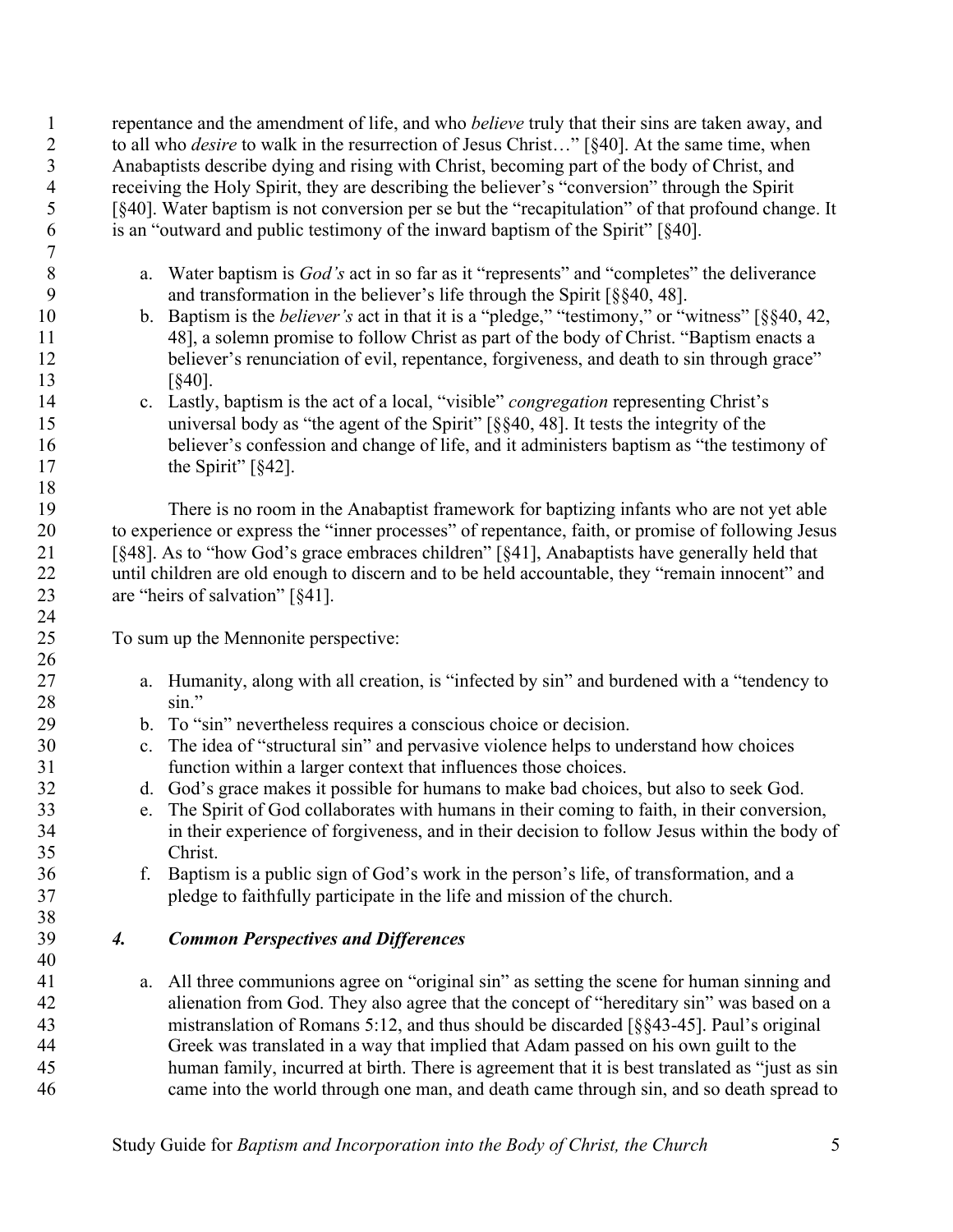repentance and the amendment of life, and who *believe* truly that their sins are taken away, and to all who *desire* to walk in the resurrection of Jesus Christ…" [§40]. At the same time, when Anabaptists describe dying and rising with Christ, becoming part of the body of Christ, and receiving the Holy Spirit, they are describing the believer's "conversion" through the Spirit [§40]. Water baptism is not conversion per se but the "recapitulation" of that profound change. It is an "outward and public testimony of the inward baptism of the Spirit" [§40]. 

- a. Water baptism is *God's* act in so far as it "represents" and "completes" the deliverance and transformation in the believer's life through the Spirit [§§40, 48].
- b. Baptism is the *believer's* act in that it is a "pledge," "testimony," or "witness" [§§40, 42, 48], a solemn promise to follow Christ as part of the body of Christ. "Baptism enacts a 12 believer's renunciation of evil, repentance, forgiveness, and death to sin through grace" 13 [§40].
- c. Lastly, baptism is the act of a local, "visible" *congregation* representing Christ's universal body as "the agent of the Spirit" [§§40, 48]. It tests the integrity of the believer's confession and change of life, and it administers baptism as "the testimony of 17 the Spirit" [§42].

 There is no room in the Anabaptist framework for baptizing infants who are not yet able to experience or express the "inner processes" of repentance, faith, or promise of following Jesus [§48]. As to "how God's grace embraces children" [§41], Anabaptists have generally held that until children are old enough to discern and to be held accountable, they "remain innocent" and 23 are "heirs of salvation" [§41].

To sum up the Mennonite perspective:

- a. Humanity, along with all creation, is "infected by sin" and burdened with a "tendency to sin."
- b. To "sin" nevertheless requires a conscious choice or decision.
- c. The idea of "structural sin" and pervasive violence helps to understand how choices function within a larger context that influences those choices.
- d. God's grace makes it possible for humans to make bad choices, but also to seek God.
- e. The Spirit of God collaborates with humans in their coming to faith, in their conversion, in their experience of forgiveness, and in their decision to follow Jesus within the body of Christ.
- f. Baptism is a public sign of God's work in the person's life, of transformation, and a pledge to faithfully participate in the life and mission of the church.

# *4. Common Perspectives and Differences*

 a. All three communions agree on "original sin" as setting the scene for human sinning and alienation from God. They also agree that the concept of "hereditary sin" was based on a mistranslation of Romans 5:12, and thus should be discarded [§§43-45]. Paul's original Greek was translated in a way that implied that Adam passed on his own guilt to the human family, incurred at birth. There is agreement that it is best translated as "just as sin came into the world through one man, and death came through sin, and so death spread to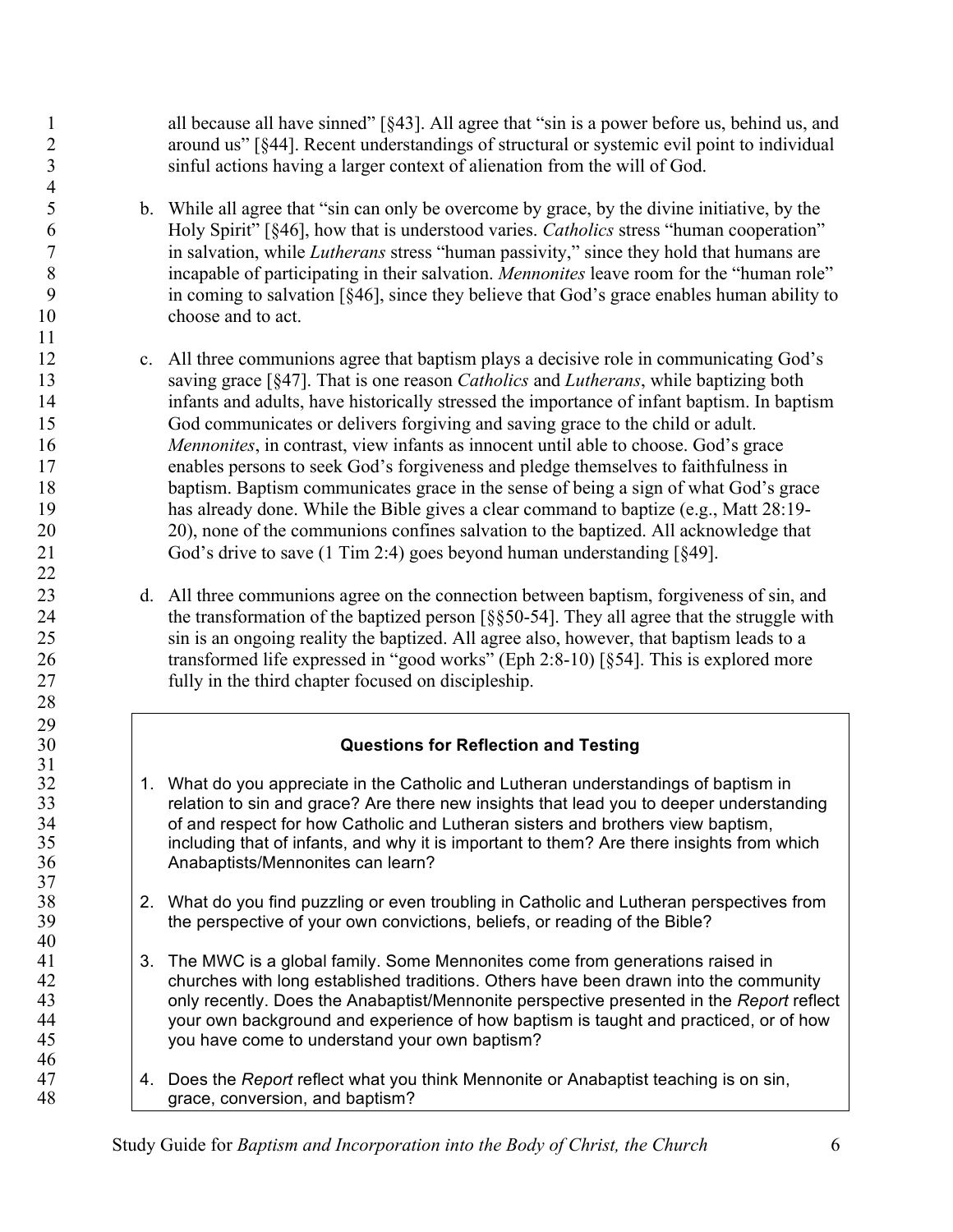1 all because all have sinned" [§43]. All agree that "sin is a power before us, behind us, and around us" [§44]. Recent understandings of structural or systemic evil point to individual sinful actions having a larger context of alienation from the will of God.

 b. While all agree that "sin can only be overcome by grace, by the divine initiative, by the Holy Spirit" [§46], how that is understood varies. *Catholics* stress "human cooperation" in salvation, while *Lutherans* stress "human passivity," since they hold that humans are incapable of participating in their salvation. *Mennonites* leave room for the "human role" in coming to salvation [§46], since they believe that God's grace enables human ability to choose and to act.

 

- c. All three communions agree that baptism plays a decisive role in communicating God's saving grace [§47]. That is one reason *Catholics* and *Lutherans*, while baptizing both infants and adults, have historically stressed the importance of infant baptism. In baptism God communicates or delivers forgiving and saving grace to the child or adult. *Mennonites*, in contrast, view infants as innocent until able to choose. God's grace enables persons to seek God's forgiveness and pledge themselves to faithfulness in baptism. Baptism communicates grace in the sense of being a sign of what God's grace has already done. While the Bible gives a clear command to baptize (e.g., Matt 28:19- 20), none of the communions confines salvation to the baptized. All acknowledge that God's drive to save (1 Tim 2:4) goes beyond human understanding [§49].
- d. All three communions agree on the connection between baptism, forgiveness of sin, and 24 the transformation of the baptized person [§§50-54]. They all agree that the struggle with sin is an ongoing reality the baptized. All agree also, however, that baptism leads to a transformed life expressed in "good works" (Eph 2:8-10) [§54]. This is explored more fully in the third chapter focused on discipleship.

# **Questions for Reflection and Testing**

- 32 1. What do you appreciate in the Catholic and Lutheran understandings of baptism in 33 relation to sin and grace? Are there new insights that lead you to deeper understanding<br>34 of and respect for how Catholic and Lutheran sisters and brothers view baptism. of and respect for how Catholic and Lutheran sisters and brothers view baptism, 35 including that of infants, and why it is important to them? Are there insights from which Anabaptists/Mennonites can learn?
- 38 2. What do you find puzzling or even troubling in Catholic and Lutheran perspectives from 39 the perspective of your own convictions, beliefs, or reading of the Bible?
- 3. The MWC is a global family. Some Mennonites come from generations raised in churches with long established traditions. Others have been drawn into the community only recently. Does the Anabaptist/Mennonite perspective presented in the *Report* reflect 44 your own background and experience of how baptism is taught and practiced, or of how you have come to understand your own baptism?
- 4. Does the *Report* reflect what you think Mennonite or Anabaptist teaching is on sin, 48 grace, conversion, and baptism?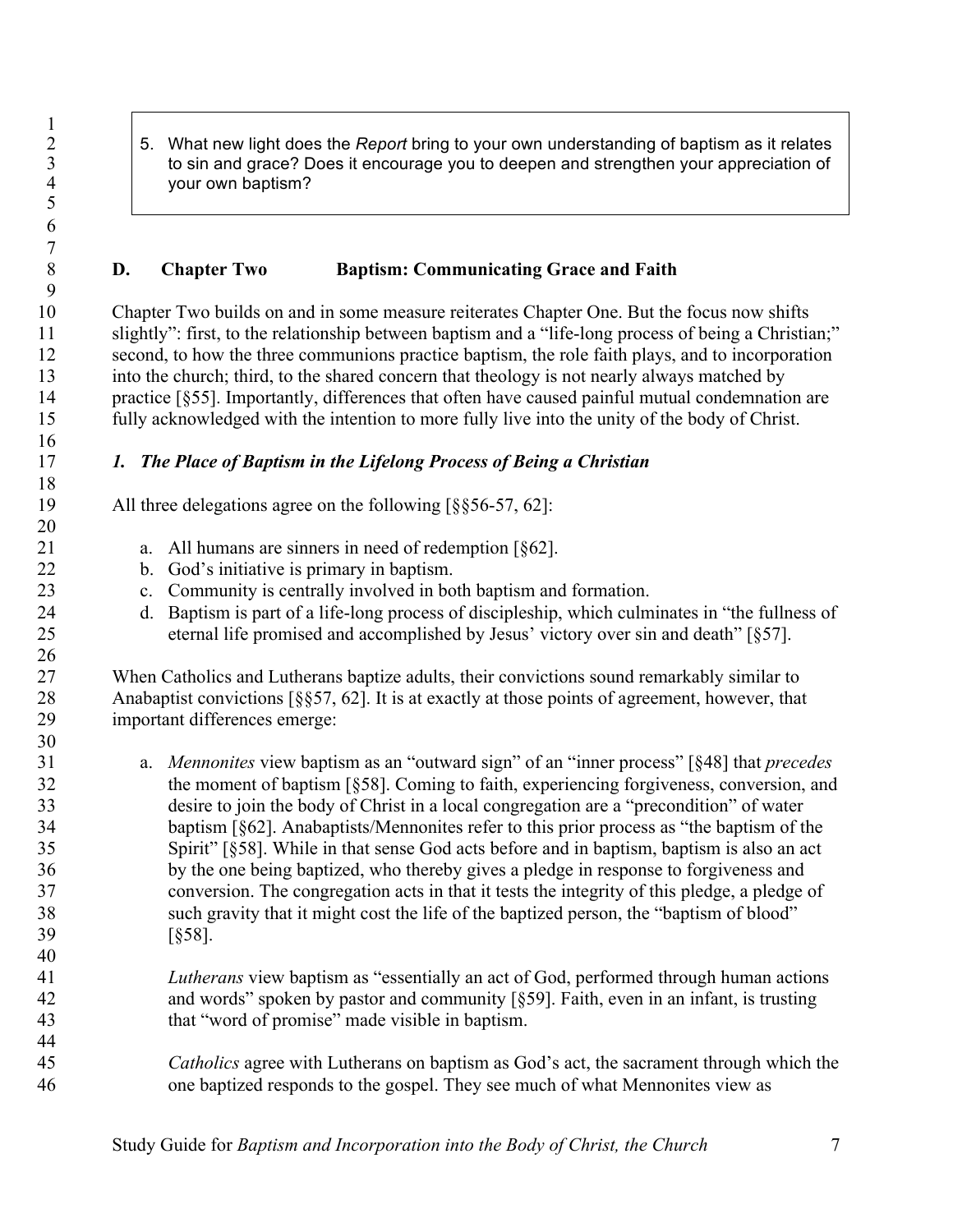- $\frac{1}{2}$ 
	- 2 5. What new light does the *Report* bring to your own understanding of baptism as it relates<br>3 to sin and grace? Does it encourage you to deepen and strengthen your appreciation of 3 to sin and grace? Does it encourage you to deepen and strengthen your appreciation of<br>4 vour own baptism? your own baptism?

# **D. Chapter Two Baptism: Communicating Grace and Faith**

 Chapter Two builds on and in some measure reiterates Chapter One. But the focus now shifts slightly": first, to the relationship between baptism and a "life-long process of being a Christian;" second, to how the three communions practice baptism, the role faith plays, and to incorporation into the church; third, to the shared concern that theology is not nearly always matched by practice [§55]. Importantly, differences that often have caused painful mutual condemnation are fully acknowledged with the intention to more fully live into the unity of the body of Christ.

# *1. The Place of Baptism in the Lifelong Process of Being a Christian*

19 All three delegations agree on the following [§§56-57, 62]:

- a. All humans are sinners in need of redemption [§62].
- b. God's initiative is primary in baptism.
- c. Community is centrally involved in both baptism and formation.
- d. Baptism is part of a life-long process of discipleship, which culminates in "the fullness of eternal life promised and accomplished by Jesus' victory over sin and death" [§57].

 When Catholics and Lutherans baptize adults, their convictions sound remarkably similar to 28 Anabaptist convictions [§§57, 62]. It is at exactly at those points of agreement, however, that important differences emerge:

 a. *Mennonites* view baptism as an "outward sign" of an "inner process" [§48] that *precedes* the moment of baptism [§58]. Coming to faith, experiencing forgiveness, conversion, and desire to join the body of Christ in a local congregation are a "precondition" of water baptism [§62]. Anabaptists/Mennonites refer to this prior process as "the baptism of the Spirit" [§58]. While in that sense God acts before and in baptism, baptism is also an act by the one being baptized, who thereby gives a pledge in response to forgiveness and conversion. The congregation acts in that it tests the integrity of this pledge, a pledge of such gravity that it might cost the life of the baptized person, the "baptism of blood" [§58].

 *Lutherans* view baptism as "essentially an act of God, performed through human actions and words" spoken by pastor and community [§59]. Faith, even in an infant, is trusting that "word of promise" made visible in baptism.

 *Catholics* agree with Lutherans on baptism as God's act, the sacrament through which the one baptized responds to the gospel. They see much of what Mennonites view as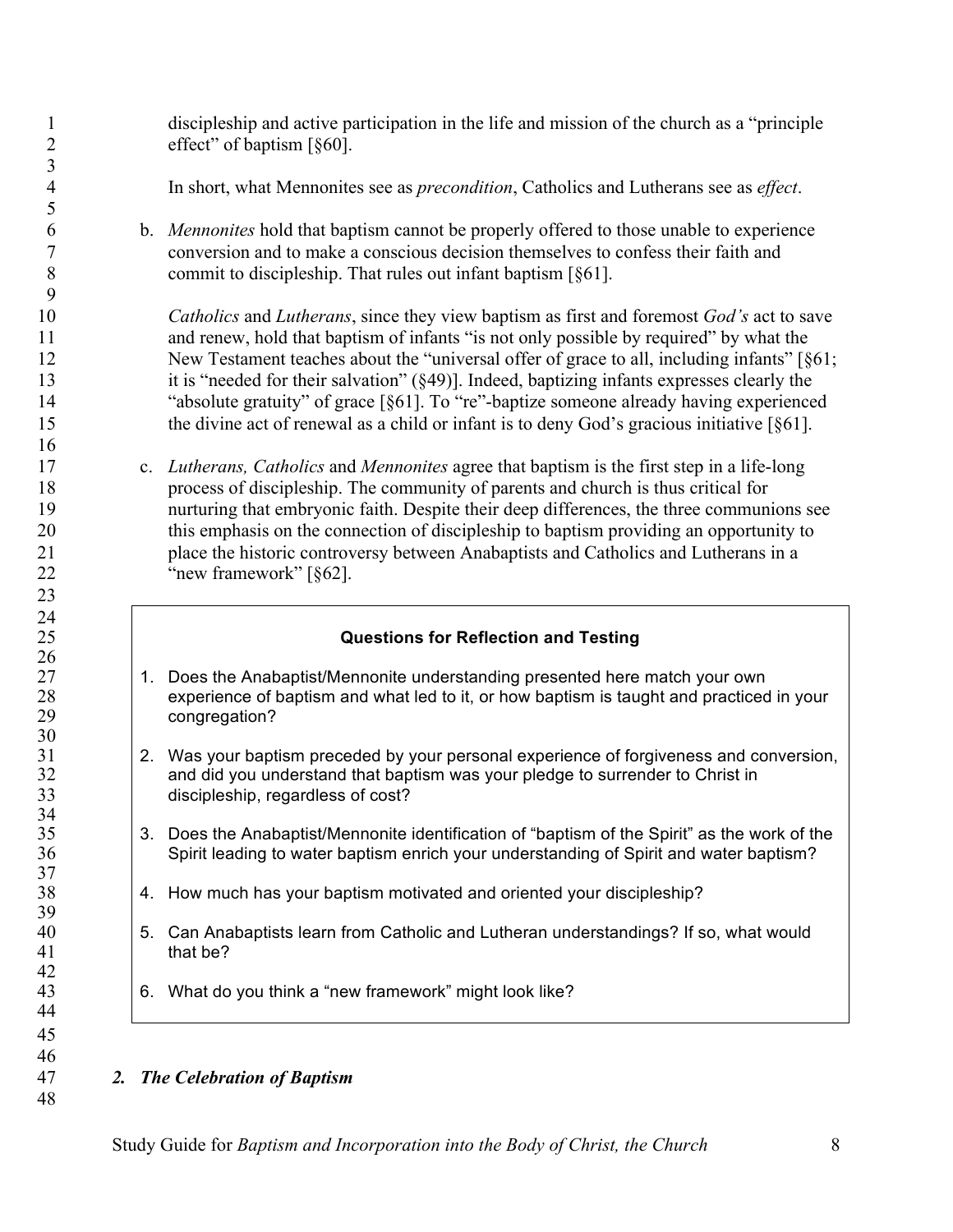discipleship and active participation in the life and mission of the church as a "principle effect" of baptism [§60].

In short, what Mennonites see as *precondition*, Catholics and Lutherans see as *effect*.

 b. *Mennonites* hold that baptism cannot be properly offered to those unable to experience conversion and to make a conscious decision themselves to confess their faith and commit to discipleship. That rules out infant baptism [§61].

 *Catholics* and *Lutherans*, since they view baptism as first and foremost *God's* act to save and renew, hold that baptism of infants "is not only possible by required" by what the 12 New Testament teaches about the "universal offer of grace to all, including infants" [§61; it is "needed for their salvation" (§49)]. Indeed, baptizing infants expresses clearly the "absolute gratuity" of grace [§61]. To "re"-baptize someone already having experienced the divine act of renewal as a child or infant is to deny God's gracious initiative [§61].

 c. *Lutherans, Catholics* and *Mennonites* agree that baptism is the first step in a life-long process of discipleship. The community of parents and church is thus critical for nurturing that embryonic faith. Despite their deep differences, the three communions see this emphasis on the connection of discipleship to baptism providing an opportunity to place the historic controversy between Anabaptists and Catholics and Lutherans in a 22 "new framework" [§62].

# **Questions for Reflection and Testing**

- 1. Does the Anabaptist/Mennonite understanding presented here match your own experience of baptism and what led to it, or how baptism is taught and practiced in your congregation?
- 2. Was your baptism preceded by your personal experience of forgiveness and conversion, 32 and did you understand that baptism was your pledge to surrender to Christ in 33 discipleship, regardless of cost?
- 3. Does the Anabaptist/Mennonite identification of "baptism of the Spirit" as the work of the Spirit leading to water baptism enrich your understanding of Spirit and water baptism?
- 4. How much has your baptism motivated and oriented your discipleship?
- 5. Can Anabaptists learn from Catholic and Lutheran understandings? If so, what would that be?
- 6. What do you think a "new framework" might look like?

# *2. The Celebration of Baptism*

 

 $\frac{26}{27}$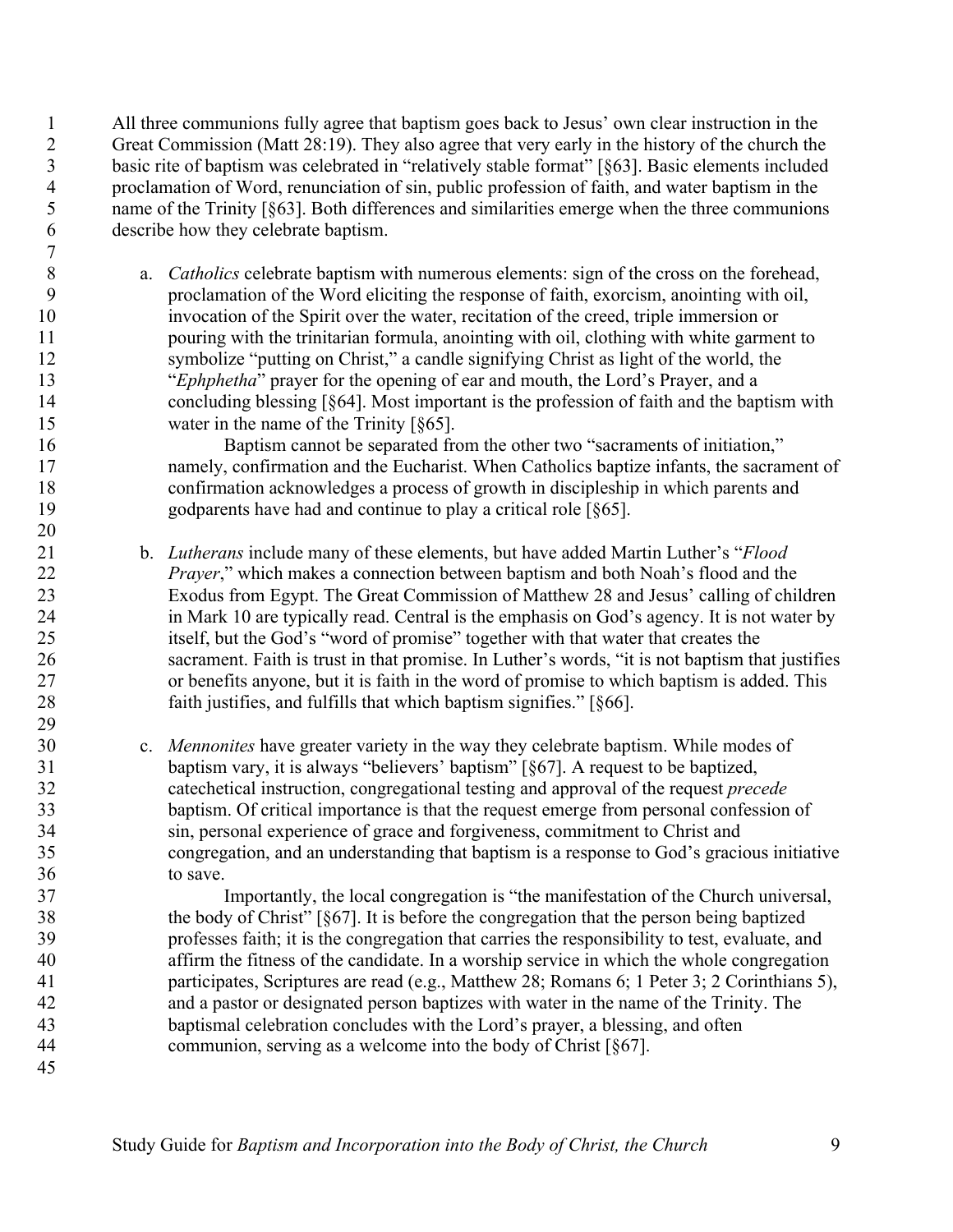All three communions fully agree that baptism goes back to Jesus' own clear instruction in the Great Commission (Matt 28:19). They also agree that very early in the history of the church the basic rite of baptism was celebrated in "relatively stable format" [§63]. Basic elements included proclamation of Word, renunciation of sin, public profession of faith, and water baptism in the name of the Trinity [§63]. Both differences and similarities emerge when the three communions describe how they celebrate baptism. 

 a. *Catholics* celebrate baptism with numerous elements: sign of the cross on the forehead, proclamation of the Word eliciting the response of faith, exorcism, anointing with oil, invocation of the Spirit over the water, recitation of the creed, triple immersion or pouring with the trinitarian formula, anointing with oil, clothing with white garment to symbolize "putting on Christ," a candle signifying Christ as light of the world, the "*Ephphetha*" prayer for the opening of ear and mouth, the Lord's Prayer, and a concluding blessing [§64]. Most important is the profession of faith and the baptism with 15 water in the name of the Trinity [§65].

 Baptism cannot be separated from the other two "sacraments of initiation," namely, confirmation and the Eucharist. When Catholics baptize infants, the sacrament of confirmation acknowledges a process of growth in discipleship in which parents and godparents have had and continue to play a critical role [§65].

 b. *Lutherans* include many of these elements, but have added Martin Luther's "*Flood Prayer*," which makes a connection between baptism and both Noah's flood and the Exodus from Egypt. The Great Commission of Matthew 28 and Jesus' calling of children in Mark 10 are typically read. Central is the emphasis on God's agency. It is not water by itself, but the God's "word of promise" together with that water that creates the sacrament. Faith is trust in that promise. In Luther's words, "it is not baptism that justifies or benefits anyone, but it is faith in the word of promise to which baptism is added. This faith justifies, and fulfills that which baptism signifies." [§66].

 c. *Mennonites* have greater variety in the way they celebrate baptism. While modes of baptism vary, it is always "believers' baptism" [§67]. A request to be baptized, catechetical instruction, congregational testing and approval of the request *precede* baptism. Of critical importance is that the request emerge from personal confession of sin, personal experience of grace and forgiveness, commitment to Christ and congregation, and an understanding that baptism is a response to God's gracious initiative to save.

 Importantly, the local congregation is "the manifestation of the Church universal, the body of Christ" [§67]. It is before the congregation that the person being baptized professes faith; it is the congregation that carries the responsibility to test, evaluate, and affirm the fitness of the candidate. In a worship service in which the whole congregation participates, Scriptures are read (e.g., Matthew 28; Romans 6; 1 Peter 3; 2 Corinthians 5), and a pastor or designated person baptizes with water in the name of the Trinity. The baptismal celebration concludes with the Lord's prayer, a blessing, and often communion, serving as a welcome into the body of Christ [§67].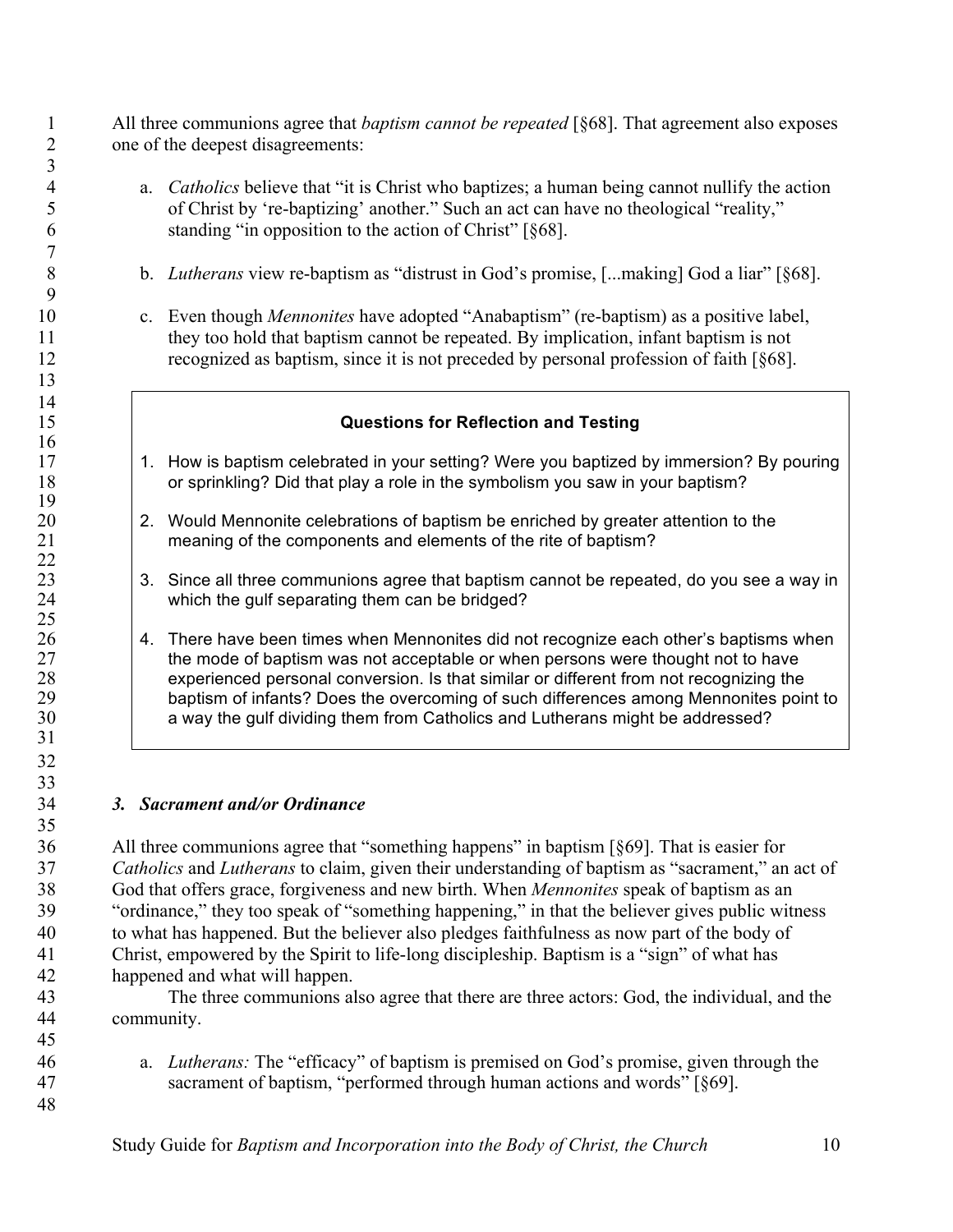All three communions agree that *baptism cannot be repeated* [§68]. That agreement also exposes one of the deepest disagreements:

- a. *Catholics* believe that "it is Christ who baptizes; a human being cannot nullify the action of Christ by 're-baptizing' another." Such an act can have no theological "reality," standing "in opposition to the action of Christ" [§68].
- b. *Lutherans* view re-baptism as "distrust in God's promise, [...making] God a liar" [§68].
- c. Even though *Mennonites* have adopted "Anabaptism" (re-baptism) as a positive label, they too hold that baptism cannot be repeated. By implication, infant baptism is not recognized as baptism, since it is not preceded by personal profession of faith [§68].

# **Questions for Reflection and Testing**

- 17 1. How is baptism celebrated in your setting? Were you baptized by immersion? By pouring 18 or sprinkling? Did that play a role in the symbolism you saw in your baptism?
- 20 20 2. Would Mennonite celebrations of baptism be enriched by greater attention to the meaning of the components and elements of the rite of baptism?
- 23 3. Since all three communions agree that baptism cannot be repeated, do you see a way in which the qulf separating them can be bridged? which the gulf separating them can be bridged?
- 26 14. There have been times when Mennonites did not recognize each other's baptisms when<br>27 the mode of baptism was not acceptable or when persons were thought not to have the mode of baptism was not acceptable or when persons were thought not to have experienced personal conversion. Is that similar or different from not recognizing the 29 baptism of infants? Does the overcoming of such differences among Mennonites point to 30 a way the gulf dividing them from Catholics and Lutherans might be addressed?

# *3. Sacrament and/or Ordinance*

  $\frac{14}{15}$ 

 

 All three communions agree that "something happens" in baptism [§69]. That is easier for *Catholics* and *Lutherans* to claim, given their understanding of baptism as "sacrament," an act of God that offers grace, forgiveness and new birth. When *Mennonites* speak of baptism as an "ordinance," they too speak of "something happening," in that the believer gives public witness to what has happened. But the believer also pledges faithfulness as now part of the body of Christ, empowered by the Spirit to life-long discipleship. Baptism is a "sign" of what has happened and what will happen.

 The three communions also agree that there are three actors: God, the individual, and the community.

 a. *Lutherans:* The "efficacy" of baptism is premised on God's promise, given through the sacrament of baptism, "performed through human actions and words" [§69].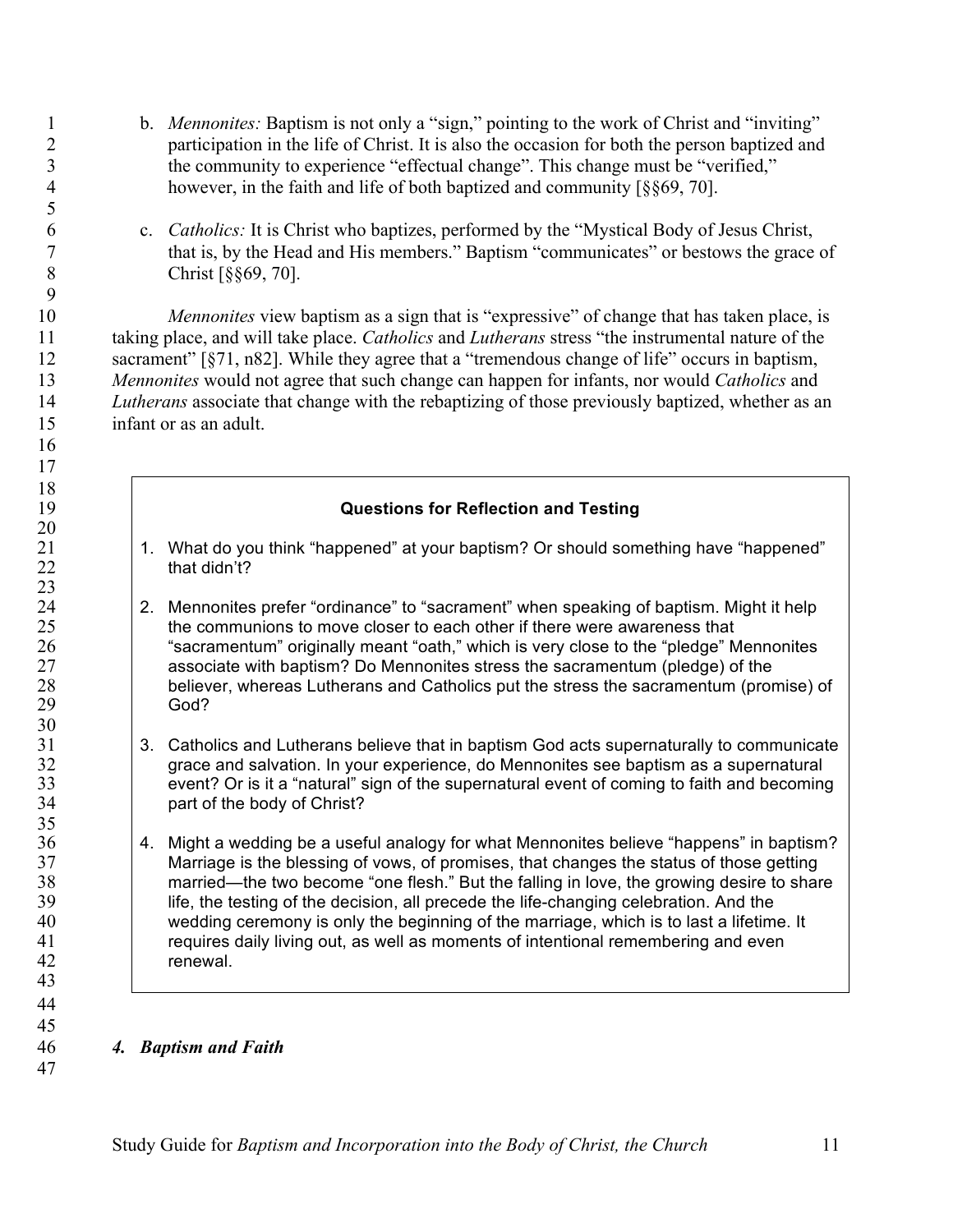- 1 b. *Mennonites:* Baptism is not only a "sign," pointing to the work of Christ and "inviting" participation in the life of Christ. It is also the occasion for both the person baptized and the community to experience "effectual change". This change must be "verified," however, in the faith and life of both baptized and community [§§69, 70].
- c. *Catholics:* It is Christ who baptizes, performed by the "Mystical Body of Jesus Christ, that is, by the Head and His members." Baptism "communicates" or bestows the grace of Christ [§§69, 70].

 *Mennonites* view baptism as a sign that is "expressive" of change that has taken place, is taking place, and will take place. *Catholics* and *Lutherans* stress "the instrumental nature of the sacrament" [§71, n82]. While they agree that a "tremendous change of life" occurs in baptism, *Mennonites* would not agree that such change can happen for infants, nor would *Catholics* and *Lutherans* associate that change with the rebaptizing of those previously baptized, whether as an infant or as an adult.

### **Questions for Reflection and Testing**

- 21 1. What do you think "happened" at your baptism? Or should something have "happened" that didn't?
- 24 2. Mennonites prefer "ordinance" to "sacrament" when speaking of baptism. Might it help<br>25 the communions to move closer to each other if there were awareness that the communions to move closer to each other if there were awareness that "sacramentum" originally meant "oath," which is very close to the "pledge" Mennonites associate with baptism? Do Mennonites stress the sacramentum (pledge) of the 28 believer, whereas Lutherans and Catholics put the stress the sacramentum (promise) of 29 God?
- 31 3. Catholics and Lutherans believe that in baptism God acts supernaturally to communicate<br>32 arace and salvation. In your experience, do Mennonites see baptism as a supernatural grace and salvation. In your experience, do Mennonites see baptism as a supernatural event? Or is it a "natural" sign of the supernatural event of coming to faith and becoming part of the body of Christ?
- 4. Might a wedding be a useful analogy for what Mennonites believe "happens" in baptism? Marriage is the blessing of vows, of promises, that changes the status of those getting married—the two become "one flesh." But the falling in love, the growing desire to share life, the testing of the decision, all precede the life-changing celebration. And the wedding ceremony is only the beginning of the marriage, which is to last a lifetime. It requires daily living out, as well as moments of intentional remembering and even renewal.

#### *4. Baptism and Faith*

 

 

 $\frac{18}{19}$ 

 $\frac{20}{21}$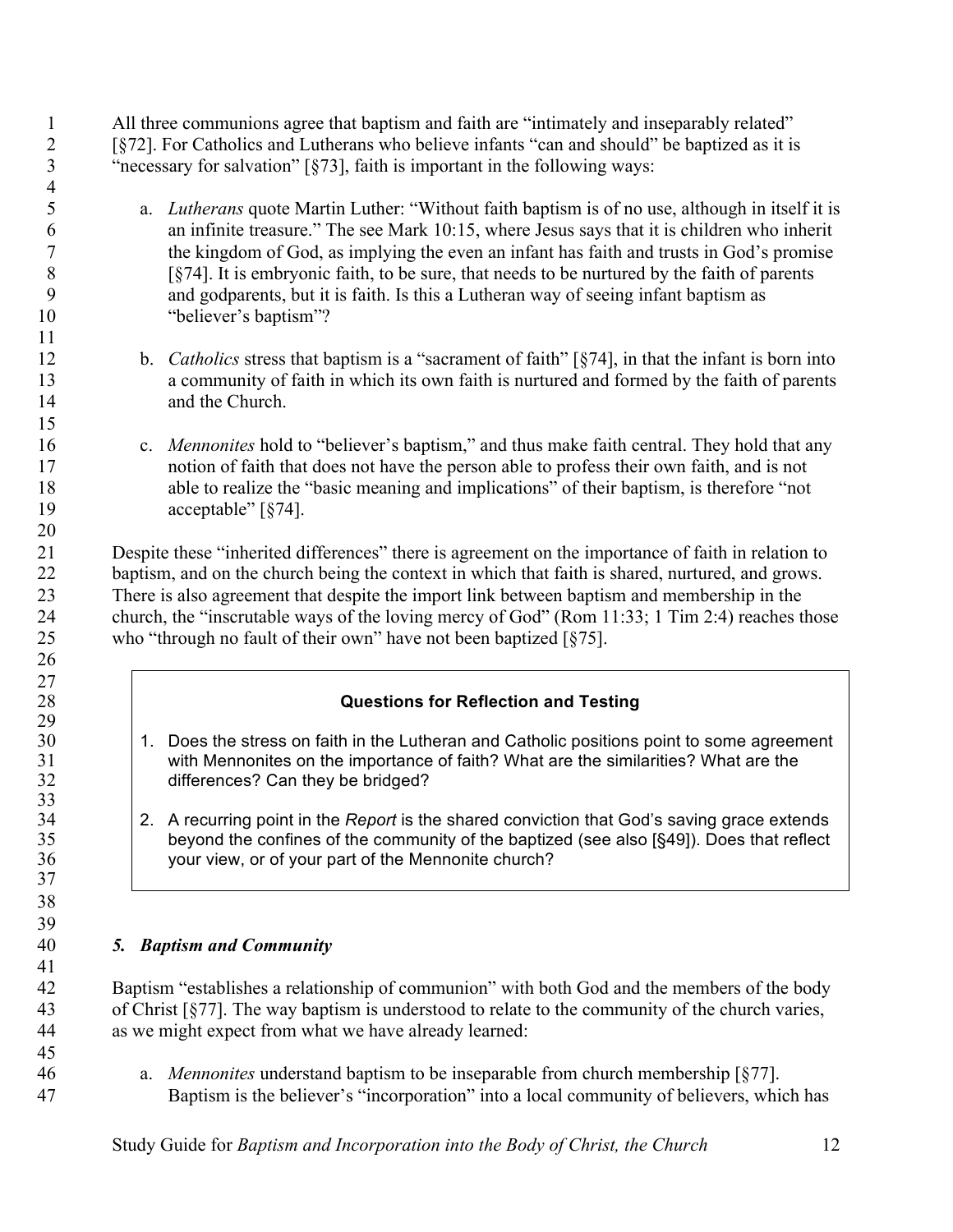All three communions agree that baptism and faith are "intimately and inseparably related" [§72]. For Catholics and Lutherans who believe infants "can and should" be baptized as it is "necessary for salvation" [§73], faith is important in the following ways:

- a. *Lutherans* quote Martin Luther: "Without faith baptism is of no use, although in itself it is an infinite treasure." The see Mark 10:15, where Jesus says that it is children who inherit the kingdom of God, as implying the even an infant has faith and trusts in God's promise [§74]. It is embryonic faith, to be sure, that needs to be nurtured by the faith of parents and godparents, but it is faith. Is this a Lutheran way of seeing infant baptism as 10 "believer's baptism"?
- b. *Catholics* stress that baptism is a "sacrament of faith" [§74], in that the infant is born into a community of faith in which its own faith is nurtured and formed by the faith of parents and the Church.
- c. *Mennonites* hold to "believer's baptism," and thus make faith central. They hold that any notion of faith that does not have the person able to profess their own faith, and is not able to realize the "basic meaning and implications" of their baptism, is therefore "not 19 acceptable" [§74].

 Despite these "inherited differences" there is agreement on the importance of faith in relation to baptism, and on the church being the context in which that faith is shared, nurtured, and grows. There is also agreement that despite the import link between baptism and membership in the church, the "inscrutable ways of the loving mercy of God" (Rom 11:33; 1 Tim 2:4) reaches those who "through no fault of their own" have not been baptized [§75].

# **Questions for Reflection and Testing**

- 30 1. Does the stress on faith in the Lutheran and Catholic positions point to some agreement 31 with Mennonites on the importance of faith? What are the similarities? What are the differences? Can they be bridged? differences? Can they be bridged?
- 2. A recurring point in the *Report* is the shared conviction that God's saving grace extends beyond the confines of the community of the baptized (see also [§49]). Does that reflect your view, or of your part of the Mennonite church?

# *5. Baptism and Community*

 

 

 Baptism "establishes a relationship of communion" with both God and the members of the body of Christ [§77]. The way baptism is understood to relate to the community of the church varies, as we might expect from what we have already learned:

 a. *Mennonites* understand baptism to be inseparable from church membership [§77]. Baptism is the believer's "incorporation" into a local community of believers, which has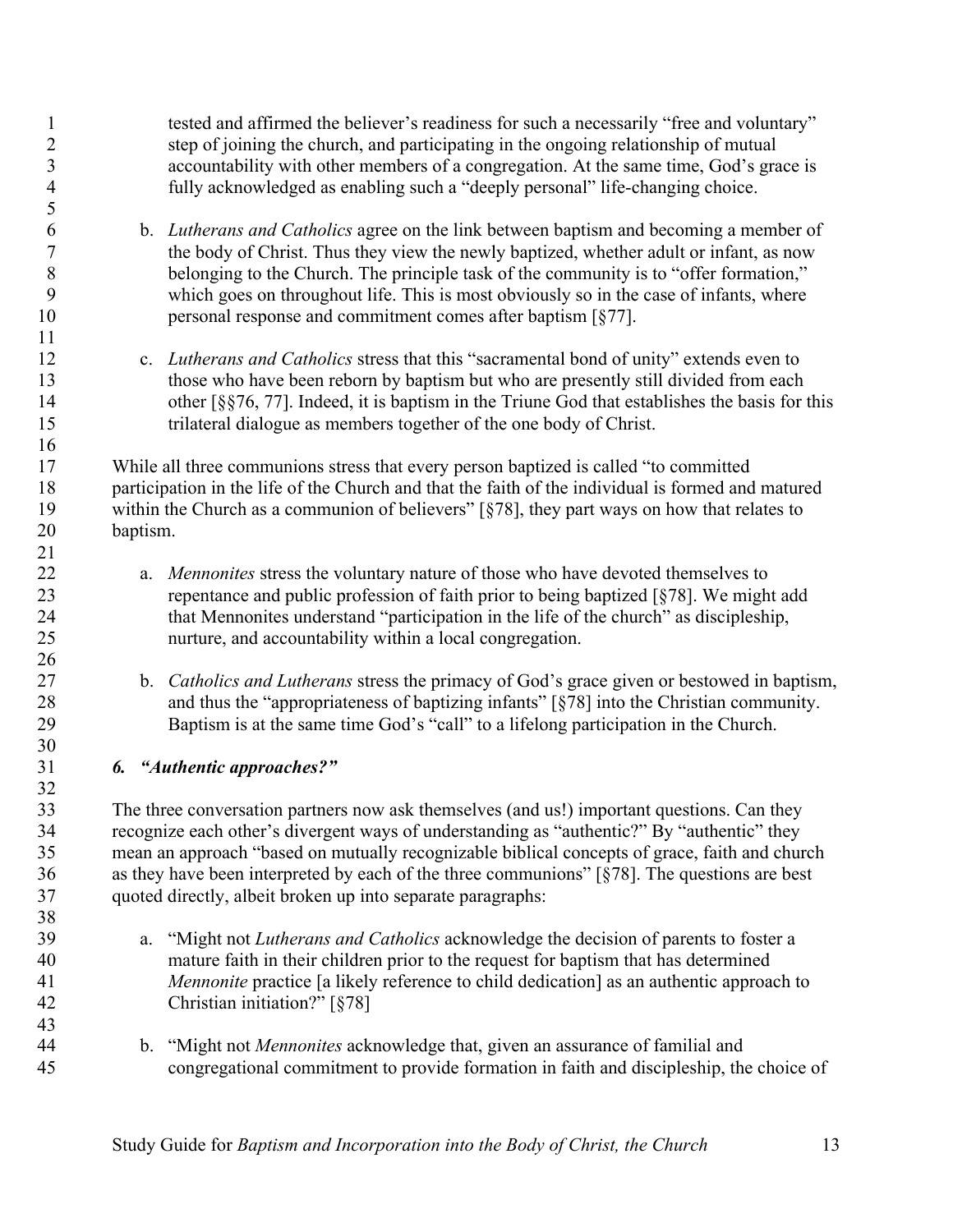tested and affirmed the believer's readiness for such a necessarily "free and voluntary" step of joining the church, and participating in the ongoing relationship of mutual accountability with other members of a congregation. At the same time, God's grace is fully acknowledged as enabling such a "deeply personal" life-changing choice.

- b. *Lutherans and Catholics* agree on the link between baptism and becoming a member of the body of Christ. Thus they view the newly baptized, whether adult or infant, as now belonging to the Church. The principle task of the community is to "offer formation," which goes on throughout life. This is most obviously so in the case of infants, where 10 personal response and commitment comes after baptism [§77].
- c. *Lutherans and Catholics* stress that this "sacramental bond of unity" extends even to those who have been reborn by baptism but who are presently still divided from each 14 other [§§76, 77]. Indeed, it is baptism in the Triune God that establishes the basis for this trilateral dialogue as members together of the one body of Christ.

 While all three communions stress that every person baptized is called "to committed participation in the life of the Church and that the faith of the individual is formed and matured within the Church as a communion of believers" [§78], they part ways on how that relates to baptism.

- a. *Mennonites* stress the voluntary nature of those who have devoted themselves to repentance and public profession of faith prior to being baptized [§78]. We might add that Mennonites understand "participation in the life of the church" as discipleship, nurture, and accountability within a local congregation.
- b. *Catholics and Lutherans* stress the primacy of God's grace given or bestowed in baptism, and thus the "appropriateness of baptizing infants" [§78] into the Christian community. Baptism is at the same time God's "call" to a lifelong participation in the Church.

# *6. "Authentic approaches?"*

 The three conversation partners now ask themselves (and us!) important questions. Can they recognize each other's divergent ways of understanding as "authentic?" By "authentic" they mean an approach "based on mutually recognizable biblical concepts of grace, faith and church as they have been interpreted by each of the three communions" [§78]. The questions are best quoted directly, albeit broken up into separate paragraphs:

- a. "Might not *Lutherans and Catholics* acknowledge the decision of parents to foster a mature faith in their children prior to the request for baptism that has determined *Mennonite* practice [a likely reference to child dedication] as an authentic approach to Christian initiation?" [§78]
- b. "Might not *Mennonites* acknowledge that, given an assurance of familial and congregational commitment to provide formation in faith and discipleship, the choice of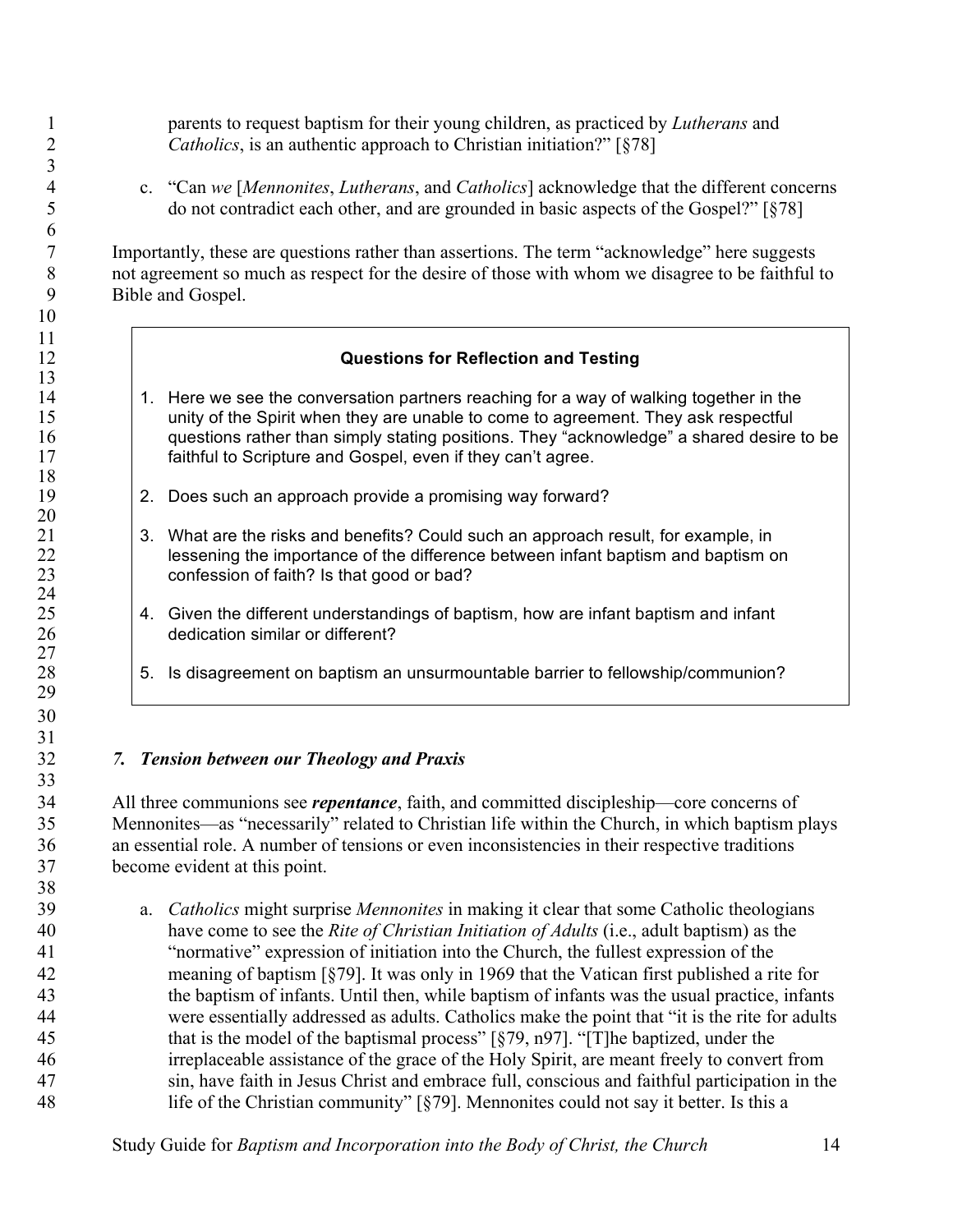parents to request baptism for their young children, as practiced by *Lutherans* and *Catholics*, is an authentic approach to Christian initiation?" [§78]

 c. "Can *we* [*Mennonites*, *Lutherans*, and *Catholics*] acknowledge that the different concerns do not contradict each other, and are grounded in basic aspects of the Gospel?" [§78]

 Importantly, these are questions rather than assertions. The term "acknowledge" here suggests not agreement so much as respect for the desire of those with whom we disagree to be faithful to Bible and Gospel.

# **Questions for Reflection and Testing**

- 14 1. Here we see the conversation partners reaching for a way of walking together in the unity of the Spirit when they are unable to come to agreement. They ask respectful 16 questions rather than simply stating positions. They "acknowledge" a shared desire to be **faithful to Scripture and Gospel, even if they can't agree.**
- 19 2. Does such an approach provide a promising way forward?
- 3. What are the risks and benefits? Could such an approach result, for example, in 22 lessening the importance of the difference between infant baptism and baptism on<br>23 confession of faith? Is that good or bad? confession of faith? Is that good or bad?
- 25 4. Given the different understandings of baptism, how are infant baptism and infant 26 dedication similar or different? dedication similar or different?
- 5. Is disagreement on baptism an unsurmountable barrier to fellowship/communion?

# *7. Tension between our Theology and Praxis*

 

 

 All three communions see *repentance*, faith, and committed discipleship—core concerns of Mennonites—as "necessarily" related to Christian life within the Church, in which baptism plays an essential role. A number of tensions or even inconsistencies in their respective traditions become evident at this point.

 a. *Catholics* might surprise *Mennonites* in making it clear that some Catholic theologians have come to see the *Rite of Christian Initiation of Adults* (i.e., adult baptism) as the "normative" expression of initiation into the Church, the fullest expression of the meaning of baptism [§79]. It was only in 1969 that the Vatican first published a rite for the baptism of infants. Until then, while baptism of infants was the usual practice, infants were essentially addressed as adults. Catholics make the point that "it is the rite for adults that is the model of the baptismal process" [§79, n97]. "[T]he baptized, under the irreplaceable assistance of the grace of the Holy Spirit, are meant freely to convert from sin, have faith in Jesus Christ and embrace full, conscious and faithful participation in the life of the Christian community" [§79]. Mennonites could not say it better. Is this a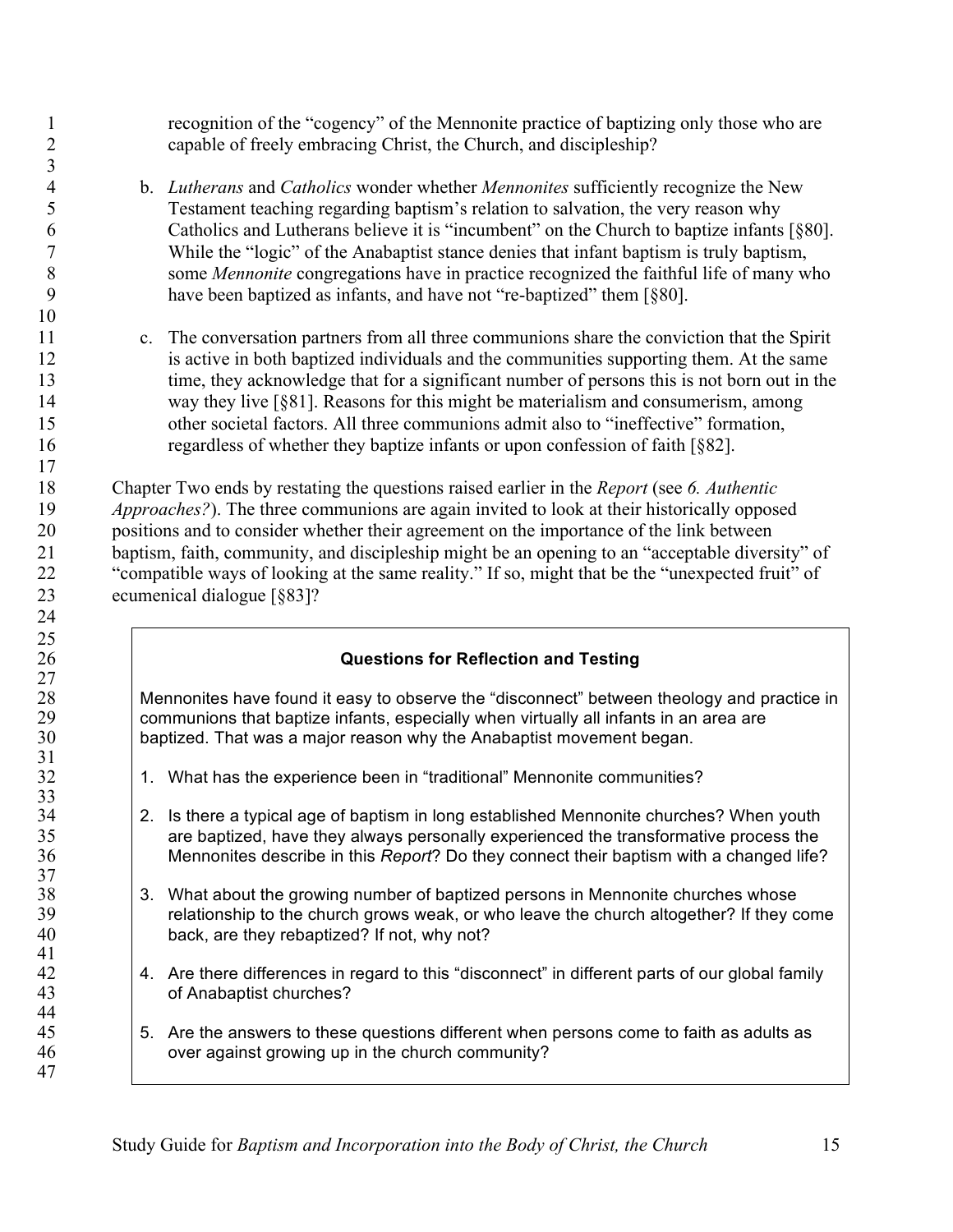recognition of the "cogency" of the Mennonite practice of baptizing only those who are capable of freely embracing Christ, the Church, and discipleship?

 b. *Lutherans* and *Catholics* wonder whether *Mennonites* sufficiently recognize the New Testament teaching regarding baptism's relation to salvation, the very reason why Catholics and Lutherans believe it is "incumbent" on the Church to baptize infants [§80]. While the "logic" of the Anabaptist stance denies that infant baptism is truly baptism, some *Mennonite* congregations have in practice recognized the faithful life of many who have been baptized as infants, and have not "re-baptized" them [§80].

 

 c. The conversation partners from all three communions share the conviction that the Spirit is active in both baptized individuals and the communities supporting them. At the same time, they acknowledge that for a significant number of persons this is not born out in the way they live [§81]. Reasons for this might be materialism and consumerism, among other societal factors. All three communions admit also to "ineffective" formation, regardless of whether they baptize infants or upon confession of faith [§82].

 Chapter Two ends by restating the questions raised earlier in the *Report* (see *6. Authentic Approaches?*). The three communions are again invited to look at their historically opposed positions and to consider whether their agreement on the importance of the link between baptism, faith, community, and discipleship might be an opening to an "acceptable diversity" of "compatible ways of looking at the same reality." If so, might that be the "unexpected fruit" of ecumenical dialogue [§83]?

# **Questions for Reflection and Testing**

28 Mennonites have found it easy to observe the "disconnect" between theology and practice in 29 communions that baptize infants, especially when virtually all infants in an area are<br>30 baptized. That was a major reason why the Anabaptist movement began. baptized. That was a major reason why the Anabaptist movement began.

- 32 1. What has the experience been in "traditional" Mennonite communities?
- 2. Is there a typical age of baptism in long established Mennonite churches? When youth are baptized, have they always personally experienced the transformative process the Mennonites describe in this *Report*? Do they connect their baptism with a changed life?
- 3. What about the growing number of baptized persons in Mennonite churches whose relationship to the church grows weak, or who leave the church altogether? If they come 40 back, are they rebaptized? If not, why not?
- 42 4. Are there differences in regard to this "disconnect" in different parts of our global family of Anabaptist churches?
- 5. Are the answers to these questions different when persons come to faith as adults as over against growing up in the church community?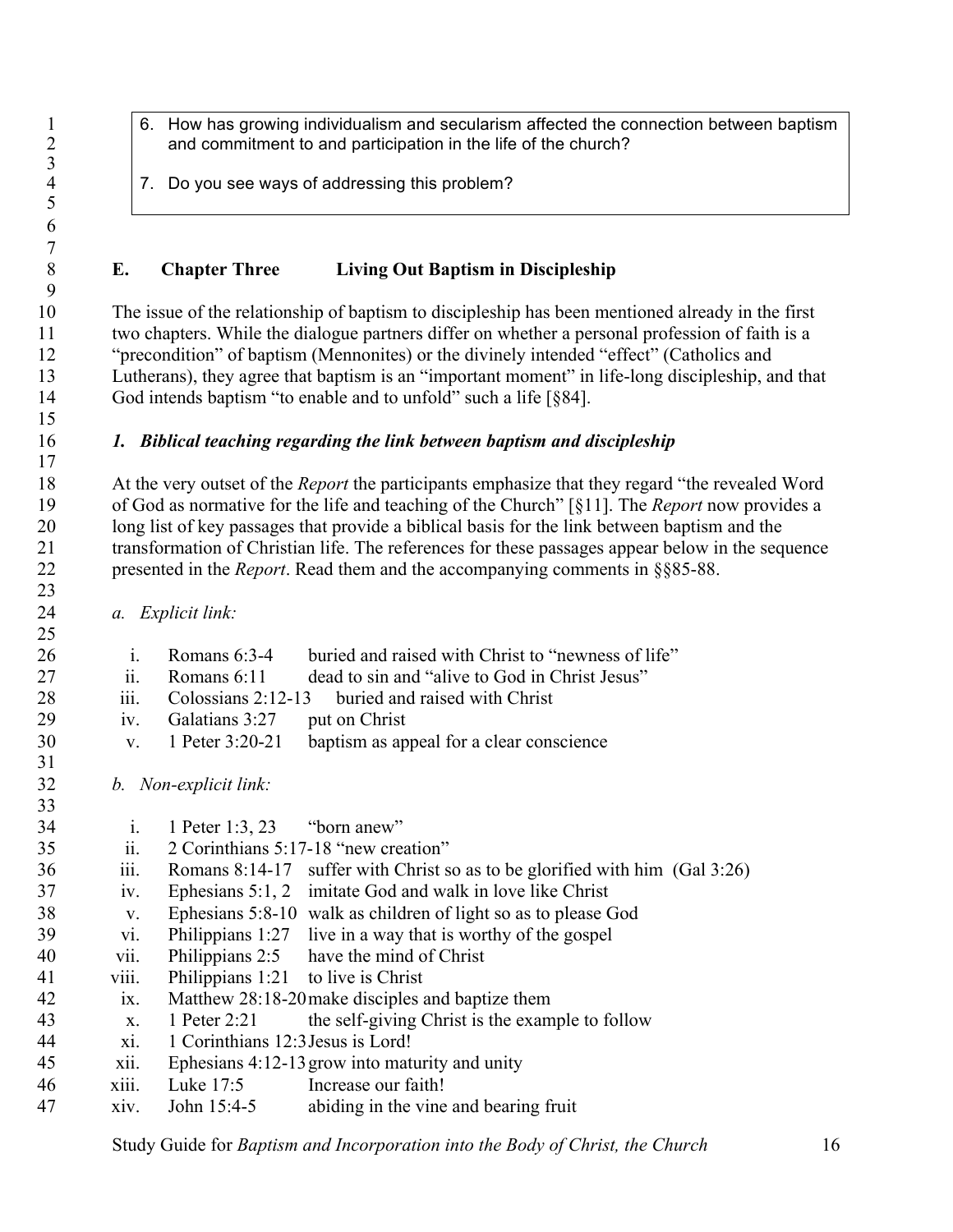- 1 6. How has growing individualism and secularism affected the connection between baptism<br>2 and commitment to and participation in the life of the church? and commitment to and participation in the life of the church?
	- 7. Do you see ways of addressing this problem?

### **E. Chapter Three Living Out Baptism in Discipleship**

 The issue of the relationship of baptism to discipleship has been mentioned already in the first two chapters. While the dialogue partners differ on whether a personal profession of faith is a "precondition" of baptism (Mennonites) or the divinely intended "effect" (Catholics and Lutherans), they agree that baptism is an "important moment" in life-long discipleship, and that God intends baptism "to enable and to unfold" such a life [§84].

### *1. Biblical teaching regarding the link between baptism and discipleship*

 At the very outset of the *Report* the participants emphasize that they regard "the revealed Word of God as normative for the life and teaching of the Church" [§11]. The *Report* now provides a long list of key passages that provide a biblical basis for the link between baptism and the transformation of Christian life. The references for these passages appear below in the sequence presented in the *Report*. Read them and the accompanying comments in §§85-88.

*a. Explicit link:*

 $\frac{3}{4}$ 

 

 i. Romans 6:3-4 buried and raised with Christ to "newness of life" ii. Romans 6:11 dead to sin and "alive to God in Christ Jesus" 28 iii. Colossians 2:12-13 buried and raised with Christ iv. Galatians 3:27 put on Christ v. 1 Peter 3:20-21 baptism as appeal for a clear conscience *b. Non-explicit link:* i. 1 Peter 1:3, 23 "born anew" ii. 2 Corinthians 5:17-18 "new creation" iii. Romans 8:14-17 suffer with Christ so as to be glorified with him (Gal 3:26) iv. Ephesians 5:1, 2 imitate God and walk in love like Christ v. Ephesians 5:8-10 walk as children of light so as to please God vi. Philippians 1:27 live in a way that is worthy of the gospel vii. Philippians 2:5 have the mind of Christ viii. Philippians 1:21 to live is Christ ix. Matthew 28:18-20make disciples and baptize them x. 1 Peter 2:21 the self-giving Christ is the example to follow xi. 1 Corinthians 12:3Jesus is Lord! xii. Ephesians 4:12-13grow into maturity and unity xiii. Luke 17:5 Increase our faith! xiv. John 15:4-5 abiding in the vine and bearing fruit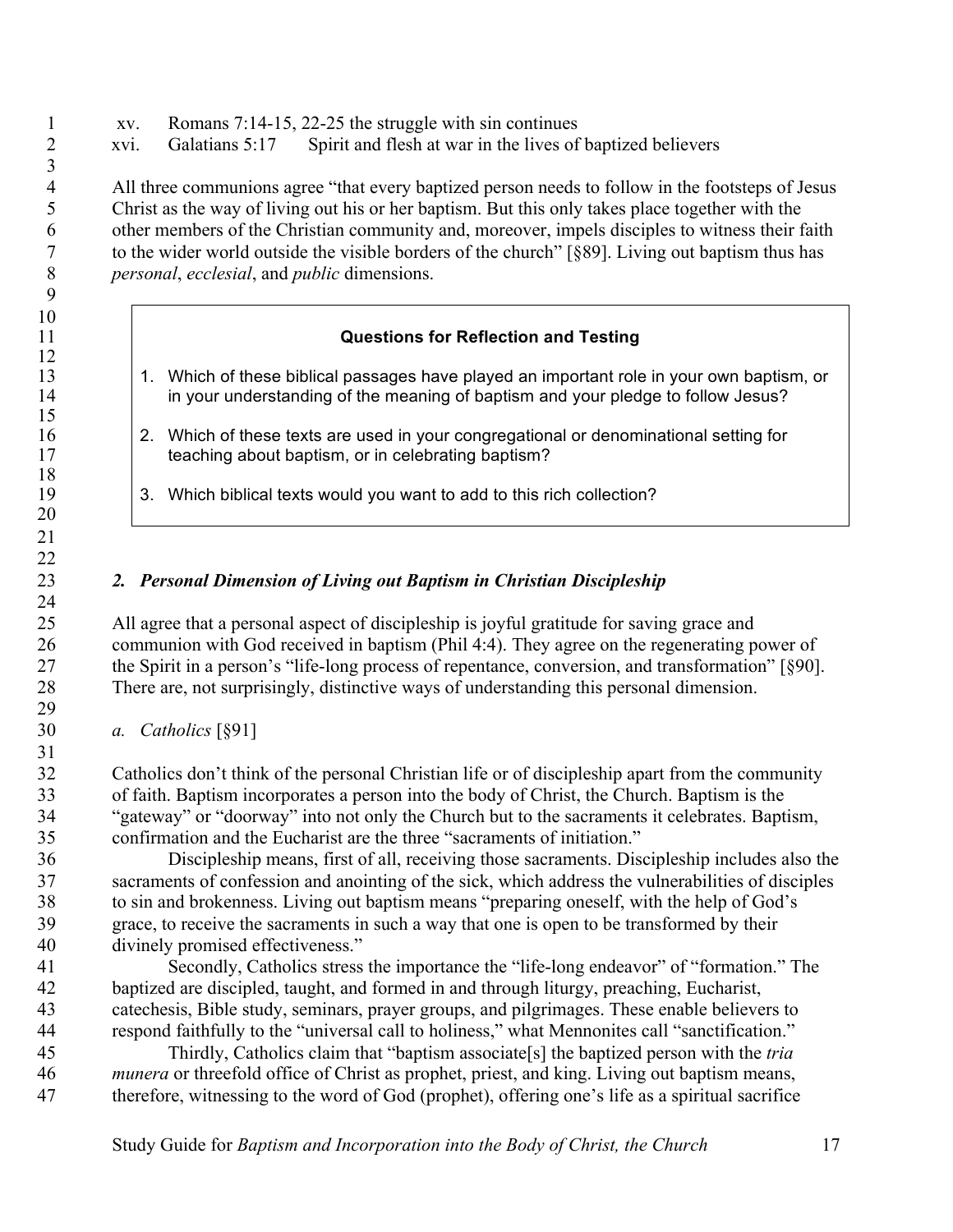- xv. Romans 7:14-15, 22-25 the struggle with sin continues
- xvi. Galatians 5:17 Spirit and flesh at war in the lives of baptized believers

 All three communions agree "that every baptized person needs to follow in the footsteps of Jesus Christ as the way of living out his or her baptism. But this only takes place together with the other members of the Christian community and, moreover, impels disciples to witness their faith to the wider world outside the visible borders of the church" [§89]. Living out baptism thus has *personal*, *ecclesial*, and *public* dimensions.

### **Questions for Reflection and Testing**

- 13 1. Which of these biblical passages have played an important role in your own baptism, or in your understanding of the meaning of baptism and your pledge to follow Jesus?
- 16 2. Which of these texts are used in your congregational or denominational setting for<br>17 teaching about baptism, or in celebrating baptism? teaching about baptism, or in celebrating baptism?
- 19 19 3. Which biblical texts would you want to add to this rich collection?

### *2. Personal Dimension of Living out Baptism in Christian Discipleship*

 All agree that a personal aspect of discipleship is joyful gratitude for saving grace and communion with God received in baptism (Phil 4:4). They agree on the regenerating power of the Spirit in a person's "life-long process of repentance, conversion, and transformation" [§90]. There are, not surprisingly, distinctive ways of understanding this personal dimension.

*a. Catholics* [§91]

 

 

 Catholics don't think of the personal Christian life or of discipleship apart from the community of faith. Baptism incorporates a person into the body of Christ, the Church. Baptism is the "gateway" or "doorway" into not only the Church but to the sacraments it celebrates. Baptism, confirmation and the Eucharist are the three "sacraments of initiation."

 Discipleship means, first of all, receiving those sacraments. Discipleship includes also the sacraments of confession and anointing of the sick, which address the vulnerabilities of disciples to sin and brokenness. Living out baptism means "preparing oneself, with the help of God's grace, to receive the sacraments in such a way that one is open to be transformed by their divinely promised effectiveness."

 Secondly, Catholics stress the importance the "life-long endeavor" of "formation." The baptized are discipled, taught, and formed in and through liturgy, preaching, Eucharist, catechesis, Bible study, seminars, prayer groups, and pilgrimages. These enable believers to respond faithfully to the "universal call to holiness," what Mennonites call "sanctification."

 Thirdly, Catholics claim that "baptism associate[s] the baptized person with the *tria munera* or threefold office of Christ as prophet, priest, and king. Living out baptism means, therefore, witnessing to the word of God (prophet), offering one's life as a spiritual sacrifice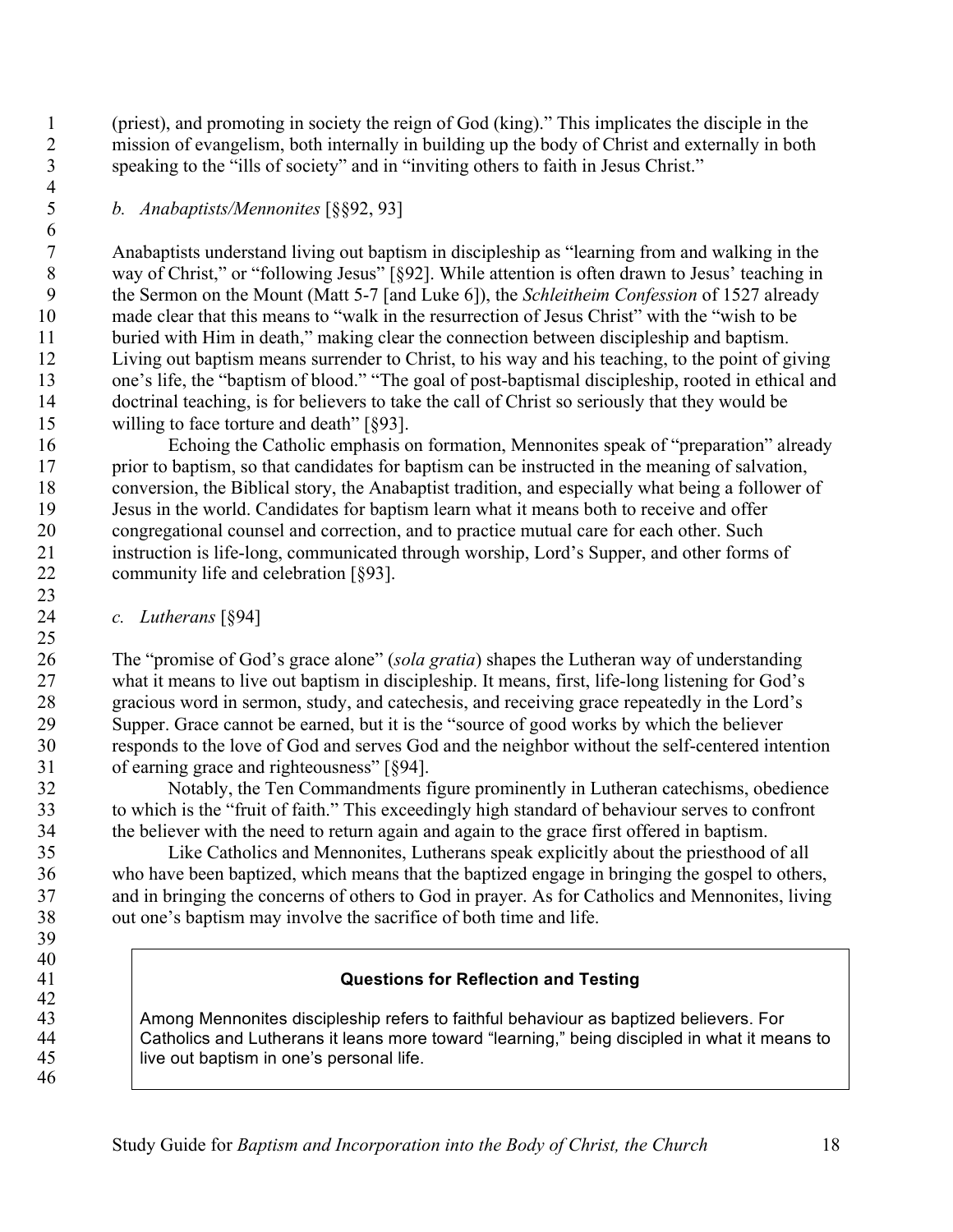(priest), and promoting in society the reign of God (king)." This implicates the disciple in the mission of evangelism, both internally in building up the body of Christ and externally in both speaking to the "ills of society" and in "inviting others to faith in Jesus Christ."

# *b. Anabaptists/Mennonites* [§§92, 93]

 

 $\frac{42}{43}$ 

 Anabaptists understand living out baptism in discipleship as "learning from and walking in the way of Christ," or "following Jesus" [§92]. While attention is often drawn to Jesus' teaching in the Sermon on the Mount (Matt 5-7 [and Luke 6]), the *Schleitheim Confession* of 1527 already made clear that this means to "walk in the resurrection of Jesus Christ" with the "wish to be 11 buried with Him in death," making clear the connection between discipleship and baptism. Living out baptism means surrender to Christ, to his way and his teaching, to the point of giving one's life, the "baptism of blood." "The goal of post-baptismal discipleship, rooted in ethical and doctrinal teaching, is for believers to take the call of Christ so seriously that they would be willing to face torture and death" [§93].

 Echoing the Catholic emphasis on formation, Mennonites speak of "preparation" already prior to baptism, so that candidates for baptism can be instructed in the meaning of salvation, conversion, the Biblical story, the Anabaptist tradition, and especially what being a follower of Jesus in the world. Candidates for baptism learn what it means both to receive and offer congregational counsel and correction, and to practice mutual care for each other. Such instruction is life-long, communicated through worship, Lord's Supper, and other forms of community life and celebration [§93].

# *c. Lutherans* [§94]

 The "promise of God's grace alone" (*sola gratia*) shapes the Lutheran way of understanding what it means to live out baptism in discipleship. It means, first, life-long listening for God's gracious word in sermon, study, and catechesis, and receiving grace repeatedly in the Lord's Supper. Grace cannot be earned, but it is the "source of good works by which the believer responds to the love of God and serves God and the neighbor without the self-centered intention of earning grace and righteousness" [§94].

 Notably, the Ten Commandments figure prominently in Lutheran catechisms, obedience to which is the "fruit of faith." This exceedingly high standard of behaviour serves to confront the believer with the need to return again and again to the grace first offered in baptism.

 Like Catholics and Mennonites, Lutherans speak explicitly about the priesthood of all who have been baptized, which means that the baptized engage in bringing the gospel to others, and in bringing the concerns of others to God in prayer. As for Catholics and Mennonites, living out one's baptism may involve the sacrifice of both time and life.

# **Questions for Reflection and Testing**

 Among Mennonites discipleship refers to faithful behaviour as baptized believers. For Catholics and Lutherans it leans more toward "learning," being discipled in what it means to 45 | live out baptism in one's personal life.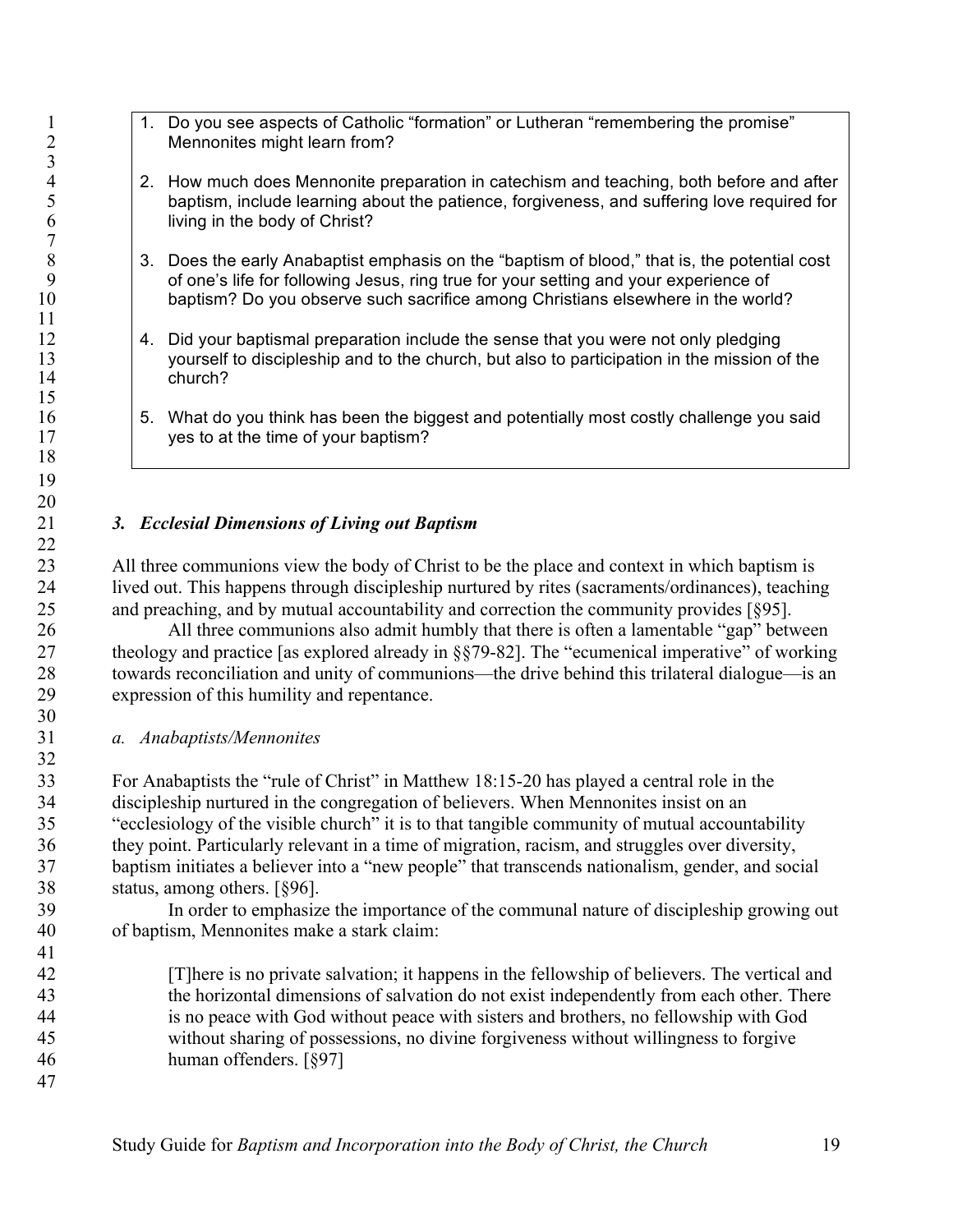- 1. Do you see aspects of Catholic "formation" or Lutheran "remembering the promise"<br>2. Mennonites might learn from? Mennonites might learn from?
- 4 2. How much does Mennonite preparation in catechism and teaching, both before and after<br>5 baptism, include learning about the patience, forgiveness, and suffering love required for 5 baptism, include learning about the patience, forgiveness, and suffering love required for<br>6 living in the body of Christ? living in the body of Christ?
- 8 3. Does the early Anabaptist emphasis on the "baptism of blood," that is, the potential cost of one's life for following Jesus, ring true for your setting and your experience of 9 of one's life for following Jesus, ring true for your setting and your experience of<br>10 baptism? Do you observe such sacrifice among Christians elsewhere in the worl baptism? Do you observe such sacrifice among Christians elsewhere in the world?
- 12 4. Did your baptismal preparation include the sense that you were not only pledging 13 yourself to discipleship and to the church, but also to participation in the mission of the church?
- 16  $\vert$  5. What do you think has been the biggest and potentially most costly challenge you said 17 ves to at the time of your baptism?

# *3. Ecclesial Dimensions of Living out Baptism*

 All three communions view the body of Christ to be the place and context in which baptism is lived out. This happens through discipleship nurtured by rites (sacraments/ordinances), teaching and preaching, and by mutual accountability and correction the community provides [§95].

 All three communions also admit humbly that there is often a lamentable "gap" between theology and practice [as explored already in §§79-82]. The "ecumenical imperative" of working towards reconciliation and unity of communions—the drive behind this trilateral dialogue—is an expression of this humility and repentance.

*a. Anabaptists/Mennonites*

 For Anabaptists the "rule of Christ" in Matthew 18:15-20 has played a central role in the discipleship nurtured in the congregation of believers. When Mennonites insist on an "ecclesiology of the visible church" it is to that tangible community of mutual accountability they point. Particularly relevant in a time of migration, racism, and struggles over diversity, baptism initiates a believer into a "new people" that transcends nationalism, gender, and social status, among others. [§96].

 In order to emphasize the importance of the communal nature of discipleship growing out of baptism, Mennonites make a stark claim:

 [T]here is no private salvation; it happens in the fellowship of believers. The vertical and the horizontal dimensions of salvation do not exist independently from each other. There is no peace with God without peace with sisters and brothers, no fellowship with God without sharing of possessions, no divine forgiveness without willingness to forgive human offenders. [§97]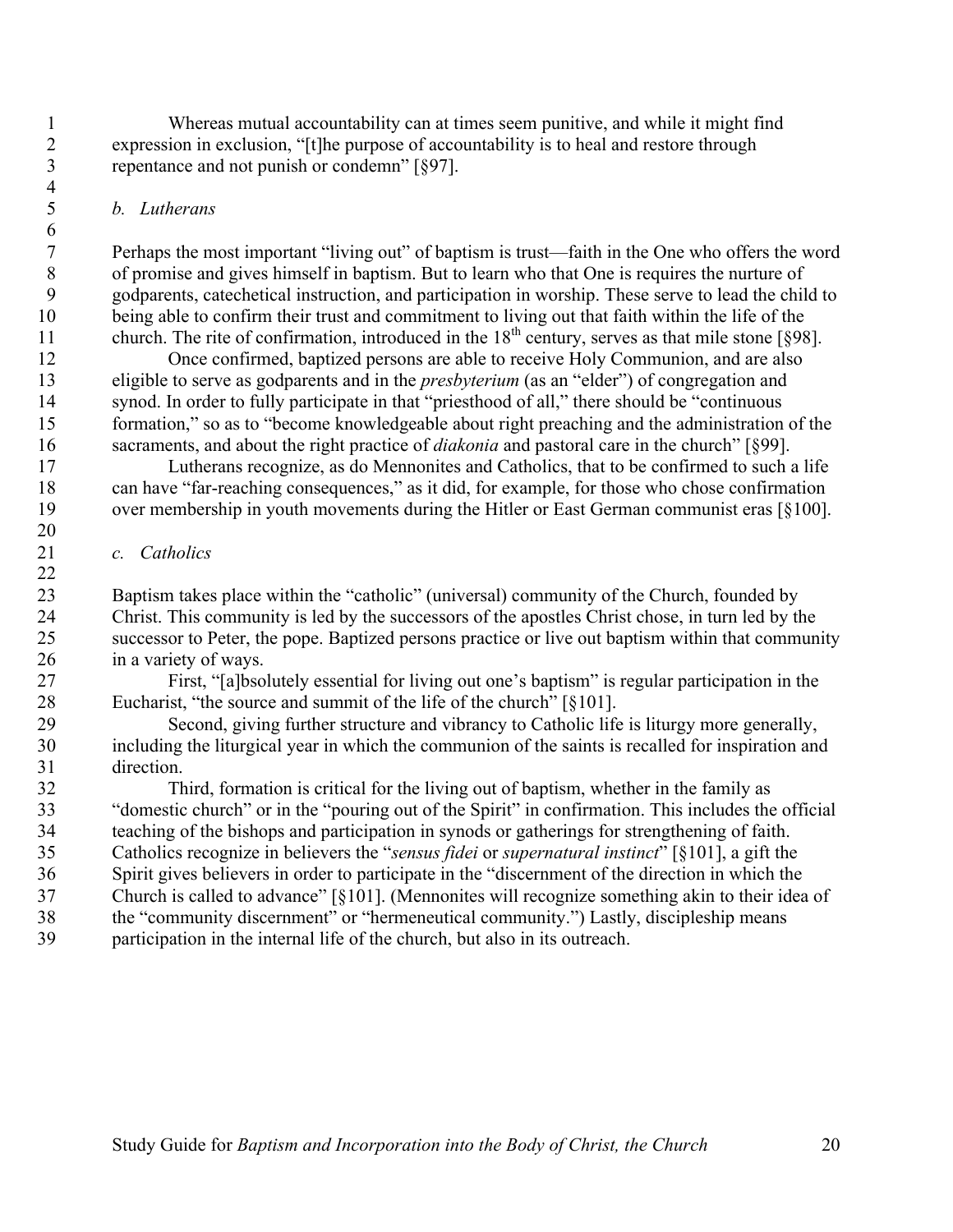Whereas mutual accountability can at times seem punitive, and while it might find expression in exclusion, "[t]he purpose of accountability is to heal and restore through repentance and not punish or condemn" [§97].

# *b. Lutherans*

 Perhaps the most important "living out" of baptism is trust—faith in the One who offers the word of promise and gives himself in baptism. But to learn who that One is requires the nurture of godparents, catechetical instruction, and participation in worship. These serve to lead the child to being able to confirm their trust and commitment to living out that faith within the life of the 11 church. The rite of confirmation, introduced in the  $18<sup>th</sup>$  century, serves as that mile stone [§98].

 Once confirmed, baptized persons are able to receive Holy Communion, and are also eligible to serve as godparents and in the *presbyterium* (as an "elder") of congregation and synod. In order to fully participate in that "priesthood of all," there should be "continuous formation," so as to "become knowledgeable about right preaching and the administration of the sacraments, and about the right practice of *diakonia* and pastoral care in the church" [§99].

 Lutherans recognize, as do Mennonites and Catholics, that to be confirmed to such a life can have "far-reaching consequences," as it did, for example, for those who chose confirmation over membership in youth movements during the Hitler or East German communist eras [§100].

### *c. Catholics*

 Baptism takes place within the "catholic" (universal) community of the Church, founded by Christ. This community is led by the successors of the apostles Christ chose, in turn led by the successor to Peter, the pope. Baptized persons practice or live out baptism within that community in a variety of ways.

 First, "[a]bsolutely essential for living out one's baptism" is regular participation in the Eucharist, "the source and summit of the life of the church" [§101].

 Second, giving further structure and vibrancy to Catholic life is liturgy more generally, including the liturgical year in which the communion of the saints is recalled for inspiration and direction.

 Third, formation is critical for the living out of baptism, whether in the family as "domestic church" or in the "pouring out of the Spirit" in confirmation. This includes the official teaching of the bishops and participation in synods or gatherings for strengthening of faith. Catholics recognize in believers the "*sensus fidei* or *supernatural instinct*" [§101], a gift the Spirit gives believers in order to participate in the "discernment of the direction in which the Church is called to advance" [§101]. (Mennonites will recognize something akin to their idea of the "community discernment" or "hermeneutical community.") Lastly, discipleship means participation in the internal life of the church, but also in its outreach.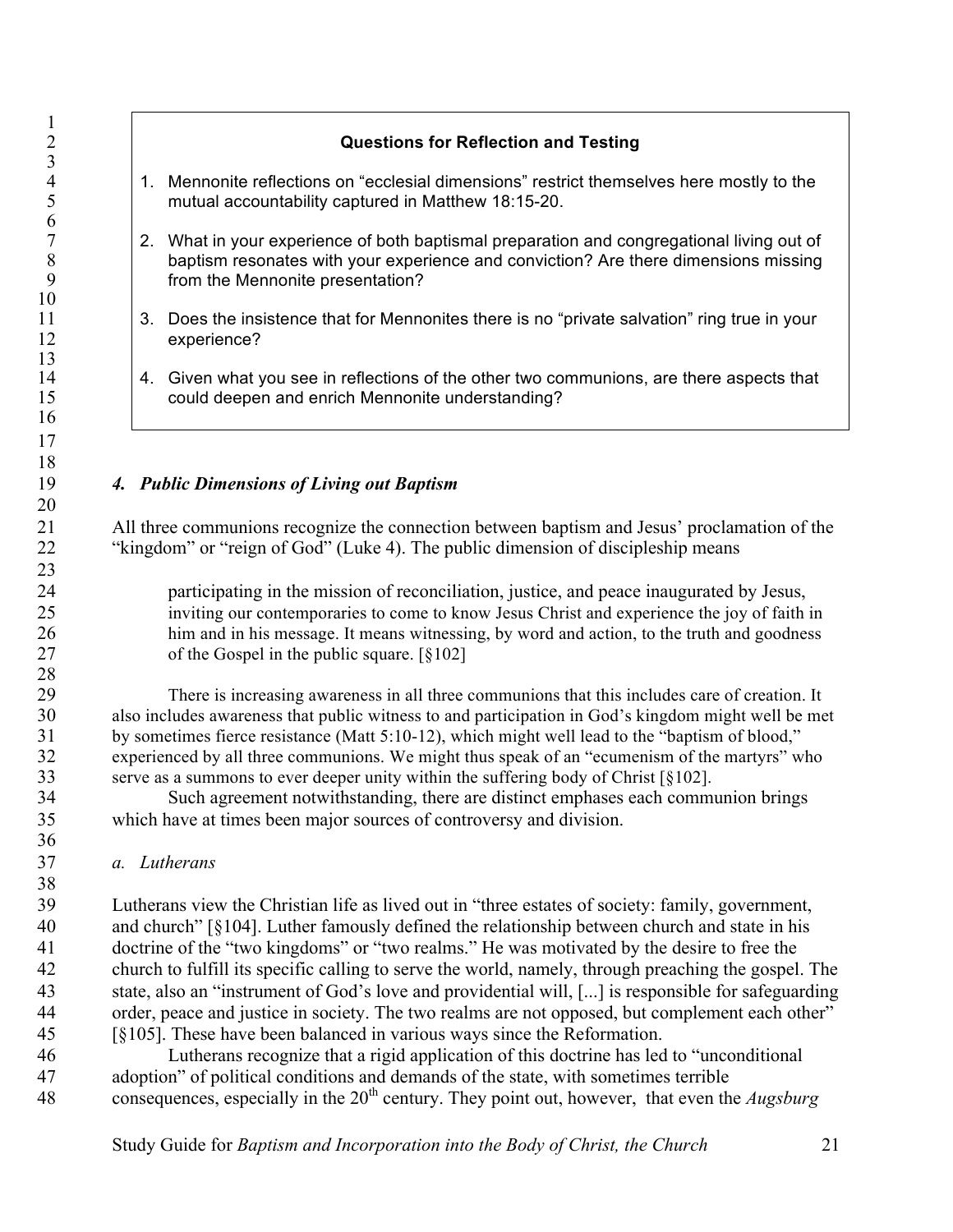### **Questions for Reflection and Testing**

- 1. Mennonite reflections on "ecclesial dimensions" restrict themselves here mostly to the mutual accountability captured in Matthew 18:15-20.
- <sup>7</sup> 2. What in your experience of both baptismal preparation and congregational living out of baptism resonates with your experience and conviction? Are there dimensions missing 8 baptism resonates with your experience and conviction? Are there dimensions missing<br>9 from the Mennonite presentation? from the Mennonite presentation?
- 11 3. Does the insistence that for Mennonites there is no "private salvation" ring true in your experience?
- 14 14 Given what you see in reflections of the other two communions, are there aspects that could deepen and enrich Mennonite understanding? could deepen and enrich Mennonite understanding?

#### *4. Public Dimensions of Living out Baptism*

 All three communions recognize the connection between baptism and Jesus' proclamation of the "kingdom" or "reign of God" (Luke 4). The public dimension of discipleship means

 participating in the mission of reconciliation, justice, and peace inaugurated by Jesus, inviting our contemporaries to come to know Jesus Christ and experience the joy of faith in him and in his message. It means witnessing, by word and action, to the truth and goodness of the Gospel in the public square. [§102]

 There is increasing awareness in all three communions that this includes care of creation. It also includes awareness that public witness to and participation in God's kingdom might well be met by sometimes fierce resistance (Matt 5:10-12), which might well lead to the "baptism of blood," experienced by all three communions. We might thus speak of an "ecumenism of the martyrs" who serve as a summons to ever deeper unity within the suffering body of Christ [§102].

 Such agreement notwithstanding, there are distinct emphases each communion brings which have at times been major sources of controversy and division.

#### *a. Lutherans*

 Lutherans view the Christian life as lived out in "three estates of society: family, government, and church" [§104]. Luther famously defined the relationship between church and state in his doctrine of the "two kingdoms" or "two realms." He was motivated by the desire to free the church to fulfill its specific calling to serve the world, namely, through preaching the gospel. The state, also an "instrument of God's love and providential will, [...] is responsible for safeguarding order, peace and justice in society. The two realms are not opposed, but complement each other" [§105]. These have been balanced in various ways since the Reformation.

 Lutherans recognize that a rigid application of this doctrine has led to "unconditional adoption" of political conditions and demands of the state, with sometimes terrible 48 consequences, especially in the 20<sup>th</sup> century. They point out, however, that even the *Augsburg*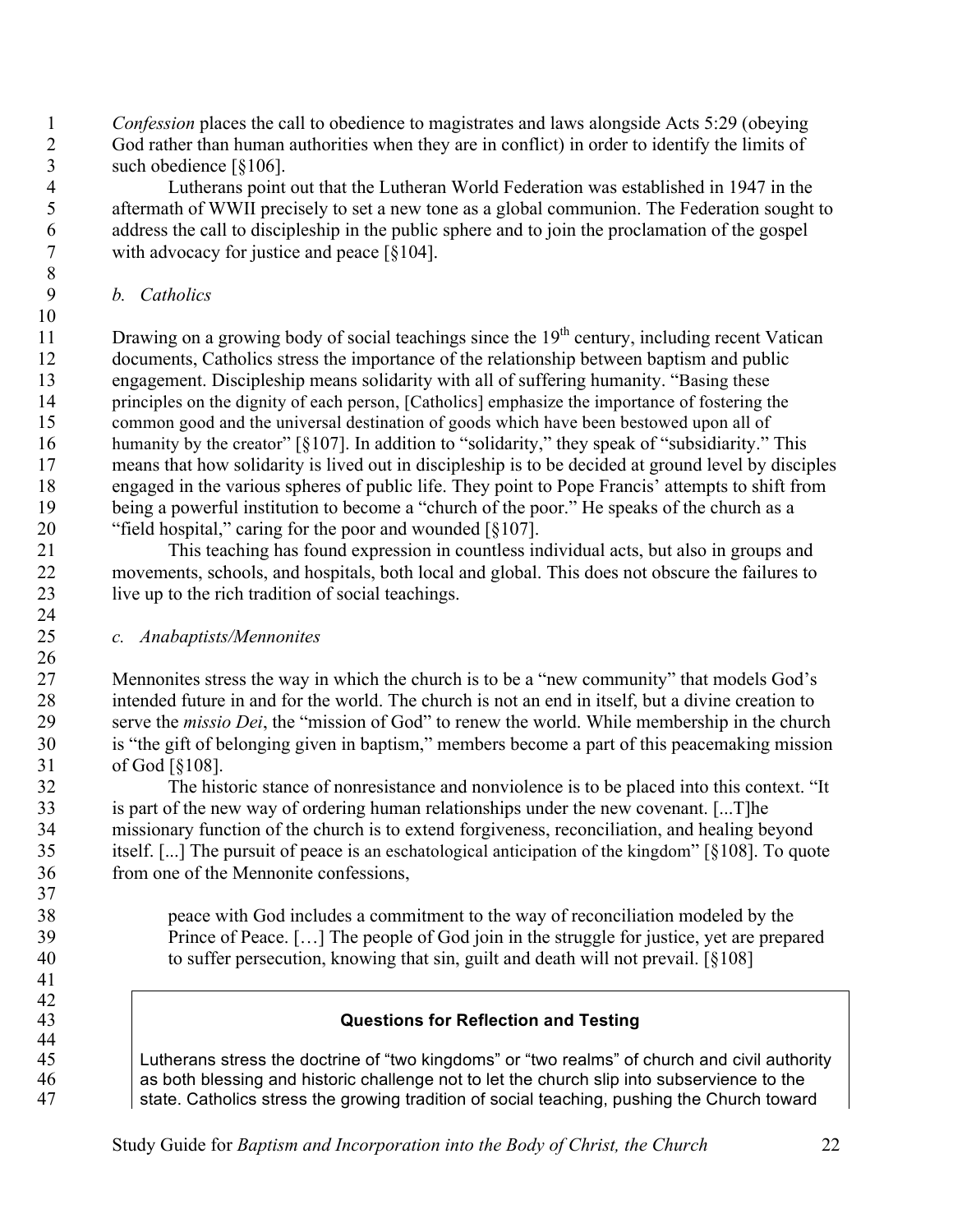*Confession* places the call to obedience to magistrates and laws alongside Acts 5:29 (obeying God rather than human authorities when they are in conflict) in order to identify the limits of such obedience [§106].

 Lutherans point out that the Lutheran World Federation was established in 1947 in the aftermath of WWII precisely to set a new tone as a global communion. The Federation sought to address the call to discipleship in the public sphere and to join the proclamation of the gospel with advocacy for justice and peace [§104].

*b. Catholics*

11 Drawing on a growing body of social teachings since the  $19<sup>th</sup>$  century, including recent Vatican documents, Catholics stress the importance of the relationship between baptism and public engagement. Discipleship means solidarity with all of suffering humanity. "Basing these principles on the dignity of each person, [Catholics] emphasize the importance of fostering the common good and the universal destination of goods which have been bestowed upon all of 16 humanity by the creator" [§107]. In addition to "solidarity," they speak of "subsidiarity." This means that how solidarity is lived out in discipleship is to be decided at ground level by disciples engaged in the various spheres of public life. They point to Pope Francis' attempts to shift from being a powerful institution to become a "church of the poor." He speaks of the church as a "field hospital," caring for the poor and wounded [§107].

 This teaching has found expression in countless individual acts, but also in groups and movements, schools, and hospitals, both local and global. This does not obscure the failures to live up to the rich tradition of social teachings.

*c. Anabaptists/Mennonites*

 Mennonites stress the way in which the church is to be a "new community" that models God's intended future in and for the world. The church is not an end in itself, but a divine creation to serve the *missio Dei*, the "mission of God" to renew the world. While membership in the church is "the gift of belonging given in baptism," members become a part of this peacemaking mission of God [§108].

 The historic stance of nonresistance and nonviolence is to be placed into this context. "It is part of the new way of ordering human relationships under the new covenant. [...T]he missionary function of the church is to extend forgiveness, reconciliation, and healing beyond itself. [...] The pursuit of peace is an eschatological anticipation of the kingdom" [§108]. To quote from one of the Mennonite confessions,

 peace with God includes a commitment to the way of reconciliation modeled by the Prince of Peace. […] The people of God join in the struggle for justice, yet are prepared to suffer persecution, knowing that sin, guilt and death will not prevail. [§108]

 

- 
- 

# **Questions for Reflection and Testing**

 Lutherans stress the doctrine of "two kingdoms" or "two realms" of church and civil authority 46 as both blessing and historic challenge not to let the church slip into subservience to the state. Catholics stress the growing tradition of social teaching, pushing the Church toward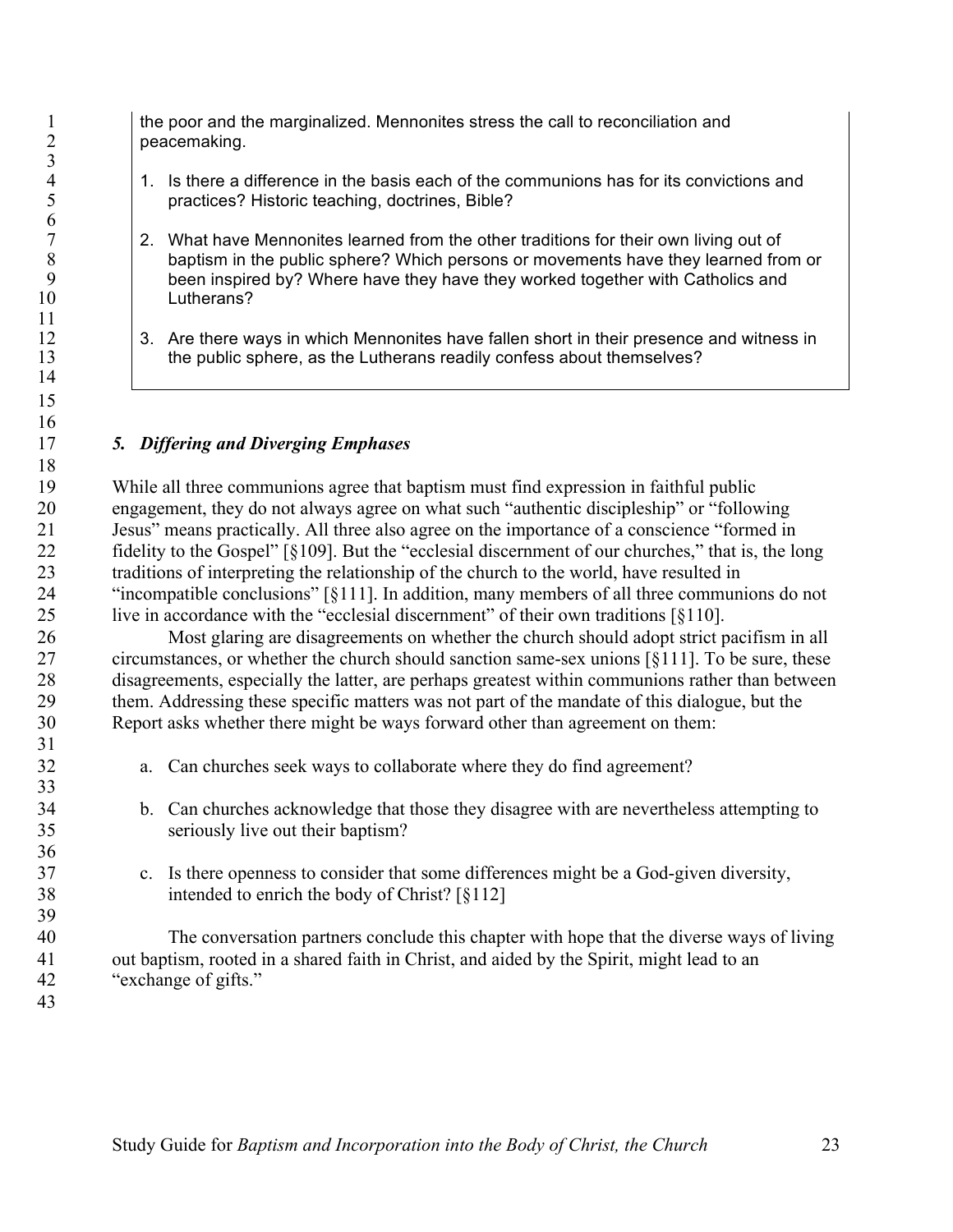1 the poor and the marginalized. Mennonites stress the call to reconciliation and peacemaking. peacemaking.

- 4 1. Is there a difference in the basis each of the communions has for its convictions and<br>5 practices? Historic teaching, doctrines, Bible? practices? Historic teaching, doctrines, Bible?
- <sup>7</sup> 2. What have Mennonites learned from the other traditions for their own living out of<br><sup>8</sup> baptism in the public sphere? Which persons or movements have they learned fro 8 baptism in the public sphere? Which persons or movements have they learned from or<br>9 been inspired by? Where have they have they worked together with Catholics and been inspired by? Where have they have they worked together with Catholics and Lutherans?
- 12 3. Are there ways in which Mennonites have fallen short in their presence and witness in 13 the public sphere, as the Lutherans readily confess about themselves?

# *5. Differing and Diverging Emphases*

 While all three communions agree that baptism must find expression in faithful public engagement, they do not always agree on what such "authentic discipleship" or "following Jesus" means practically. All three also agree on the importance of a conscience "formed in fidelity to the Gospel" [§109]. But the "ecclesial discernment of our churches," that is, the long traditions of interpreting the relationship of the church to the world, have resulted in "incompatible conclusions" [§111]. In addition, many members of all three communions do not live in accordance with the "ecclesial discernment" of their own traditions [§110].

 Most glaring are disagreements on whether the church should adopt strict pacifism in all circumstances, or whether the church should sanction same-sex unions [§111]. To be sure, these disagreements, especially the latter, are perhaps greatest within communions rather than between them. Addressing these specific matters was not part of the mandate of this dialogue, but the Report asks whether there might be ways forward other than agreement on them:

- a. Can churches seek ways to collaborate where they do find agreement?
- b. Can churches acknowledge that those they disagree with are nevertheless attempting to seriously live out their baptism?
- c. Is there openness to consider that some differences might be a God-given diversity, intended to enrich the body of Christ? [§112]

 The conversation partners conclude this chapter with hope that the diverse ways of living out baptism, rooted in a shared faith in Christ, and aided by the Spirit, might lead to an "exchange of gifts."

 $\frac{3}{4}$ 

 $\frac{6}{7}$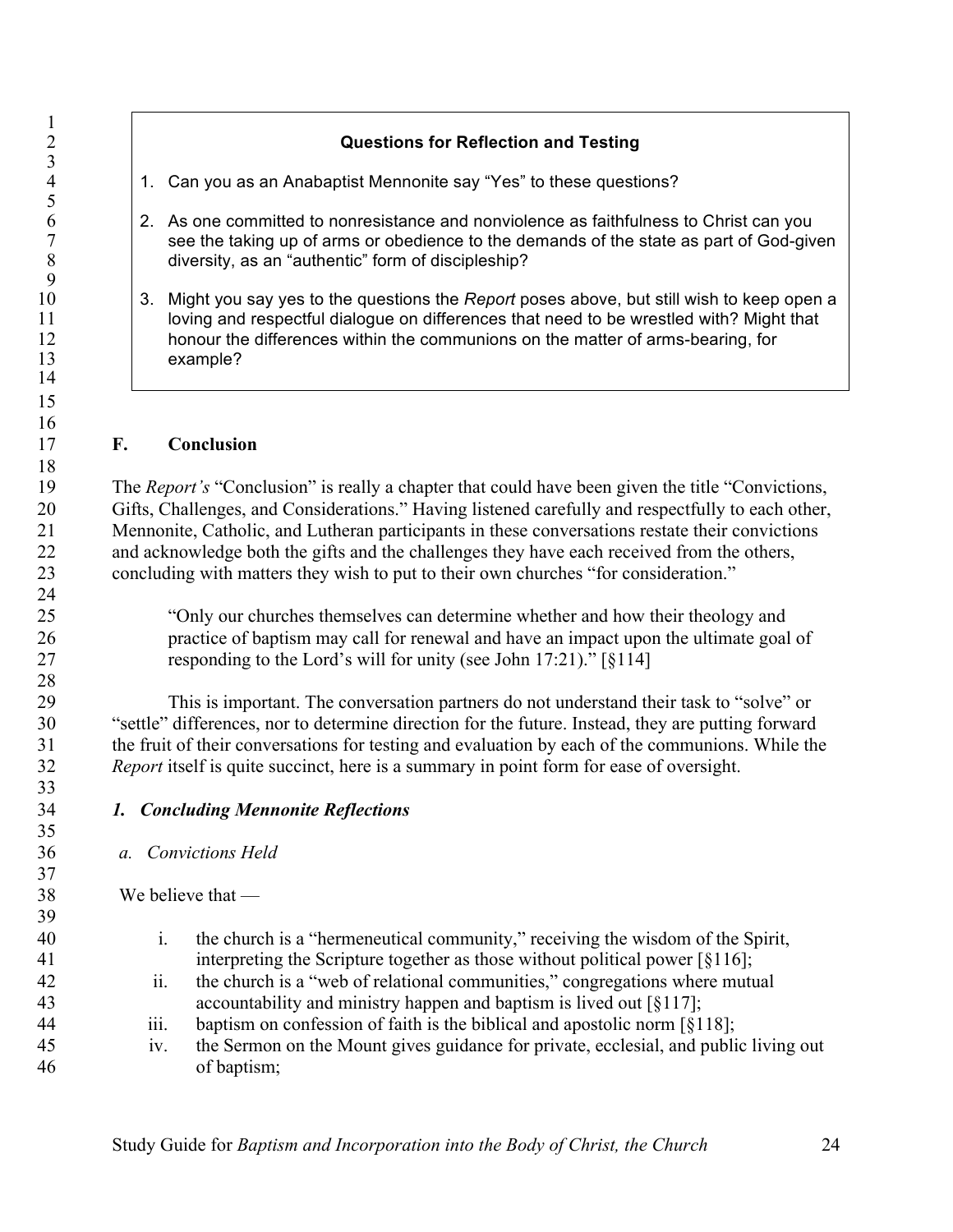# **Questions for Reflection and Testing**

- 1. Can you as an Anabaptist Mennonite say "Yes" to these questions?
- 6 2. As one committed to nonresistance and nonviolence as faithfulness to Christ can you<br>
see the taking up of arms or obedience to the demands of the state as part of God-giv 7 see the taking up of arms or obedience to the demands of the state as part of God-given<br>8 diversity, as an "authentic" form of discipleship? diversity, as an "authentic" form of discipleship?
- 3. Might you say yes to the questions the *Report* poses above, but still wish to keep open a 11 loving and respectful dialogue on differences that need to be wrestled with? Might that 12 honour the differences within the communions on the matter of arms-bearing, for example?

#### **F. Conclusion**

 The *Report's* "Conclusion" is really a chapter that could have been given the title "Convictions, Gifts, Challenges, and Considerations." Having listened carefully and respectfully to each other, Mennonite, Catholic, and Lutheran participants in these conversations restate their convictions and acknowledge both the gifts and the challenges they have each received from the others, concluding with matters they wish to put to their own churches "for consideration."

 "Only our churches themselves can determine whether and how their theology and practice of baptism may call for renewal and have an impact upon the ultimate goal of responding to the Lord's will for unity (see John 17:21)." [§114]

 This is important. The conversation partners do not understand their task to "solve" or "settle" differences, nor to determine direction for the future. Instead, they are putting forward the fruit of their conversations for testing and evaluation by each of the communions. While the *Report* itself is quite succinct, here is a summary in point form for ease of oversight.

#### *1. Concluding Mennonite Reflections*

#### *a. Convictions Held*

#### We believe that —

- i. the church is a "hermeneutical community," receiving the wisdom of the Spirit, interpreting the Scripture together as those without political power [§116];
- ii. the church is a "web of relational communities," congregations where mutual accountability and ministry happen and baptism is lived out [§117];
- iii. baptism on confession of faith is the biblical and apostolic norm [§118];
- iv. the Sermon on the Mount gives guidance for private, ecclesial, and public living out of baptism;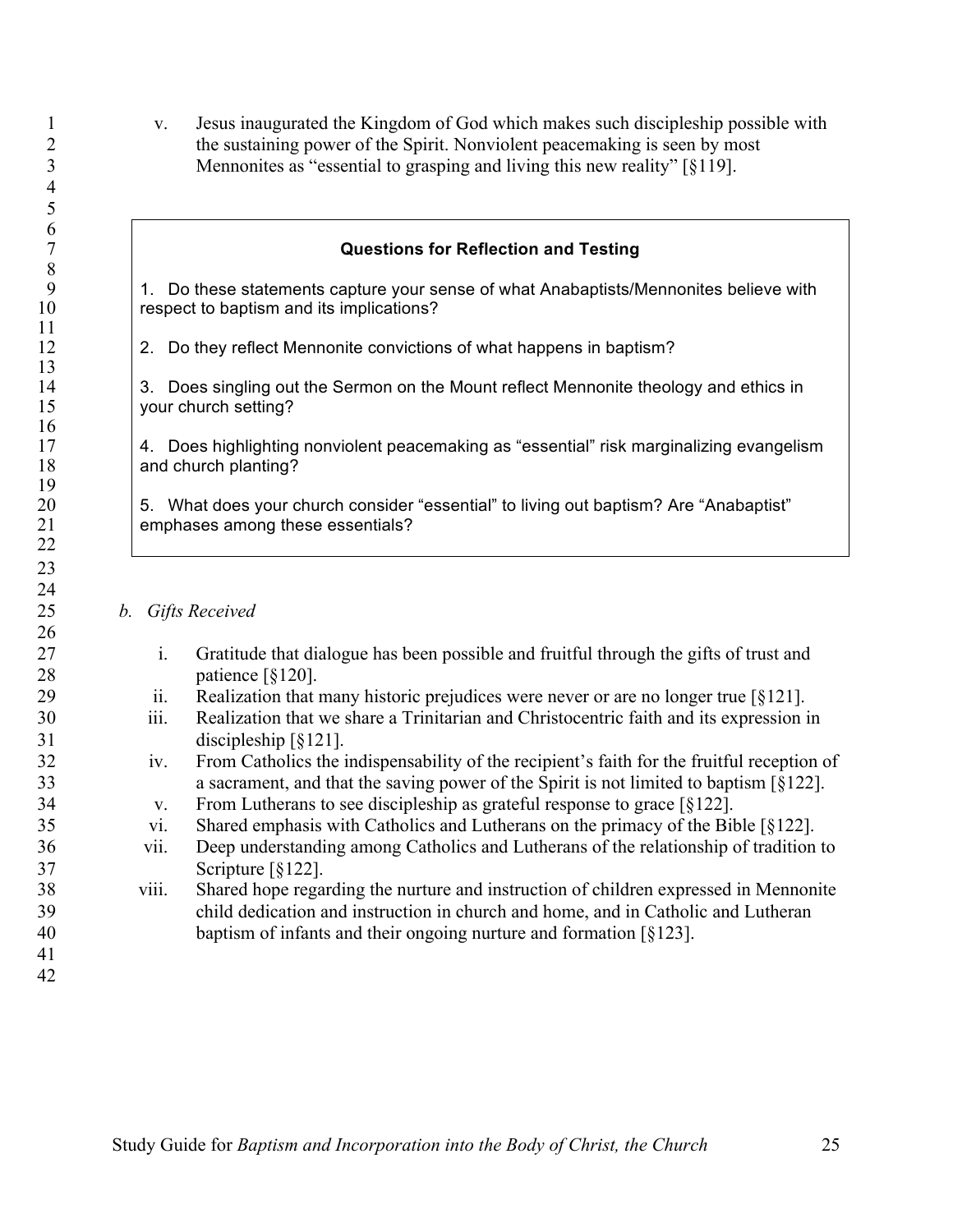v. Jesus inaugurated the Kingdom of God which makes such discipleship possible with the sustaining power of the Spirit. Nonviolent peacemaking is seen by most Mennonites as "essential to grasping and living this new reality" [§119].

#### **Questions for Reflection and Testing**

9 1. Do these statements capture your sense of what Anabaptists/Mennonites believe with 10 respect to baptism and its implications?

12 2. Do they reflect Mennonite convictions of what happens in baptism?

14 3. Does singling out the Sermon on the Mount reflect Mennonite theology and ethics in 15 vour church setting?

 4. Does highlighting nonviolent peacemaking as "essential" risk marginalizing evangelism 18 and church planting?

20 5. What does your church consider "essential" to living out baptism? Are "Anabaptist"<br>21 emphases among these essentials? emphases among these essentials?

*b. Gifts Received*

- i. Gratitude that dialogue has been possible and fruitful through the gifts of trust and patience [§120].
- ii. Realization that many historic prejudices were never or are no longer true [§121].
- iii. Realization that we share a Trinitarian and Christocentric faith and its expression in discipleship [§121].
- iv. From Catholics the indispensability of the recipient's faith for the fruitful reception of a sacrament, and that the saving power of the Spirit is not limited to baptism [§122].
- v. From Lutherans to see discipleship as grateful response to grace [§122].
- vi. Shared emphasis with Catholics and Lutherans on the primacy of the Bible [§122].
- vii. Deep understanding among Catholics and Lutherans of the relationship of tradition to Scripture [§122].

#### viii. Shared hope regarding the nurture and instruction of children expressed in Mennonite child dedication and instruction in church and home, and in Catholic and Lutheran baptism of infants and their ongoing nurture and formation [§123].

  $\frac{6}{7}$ 

 $\frac{19}{20}$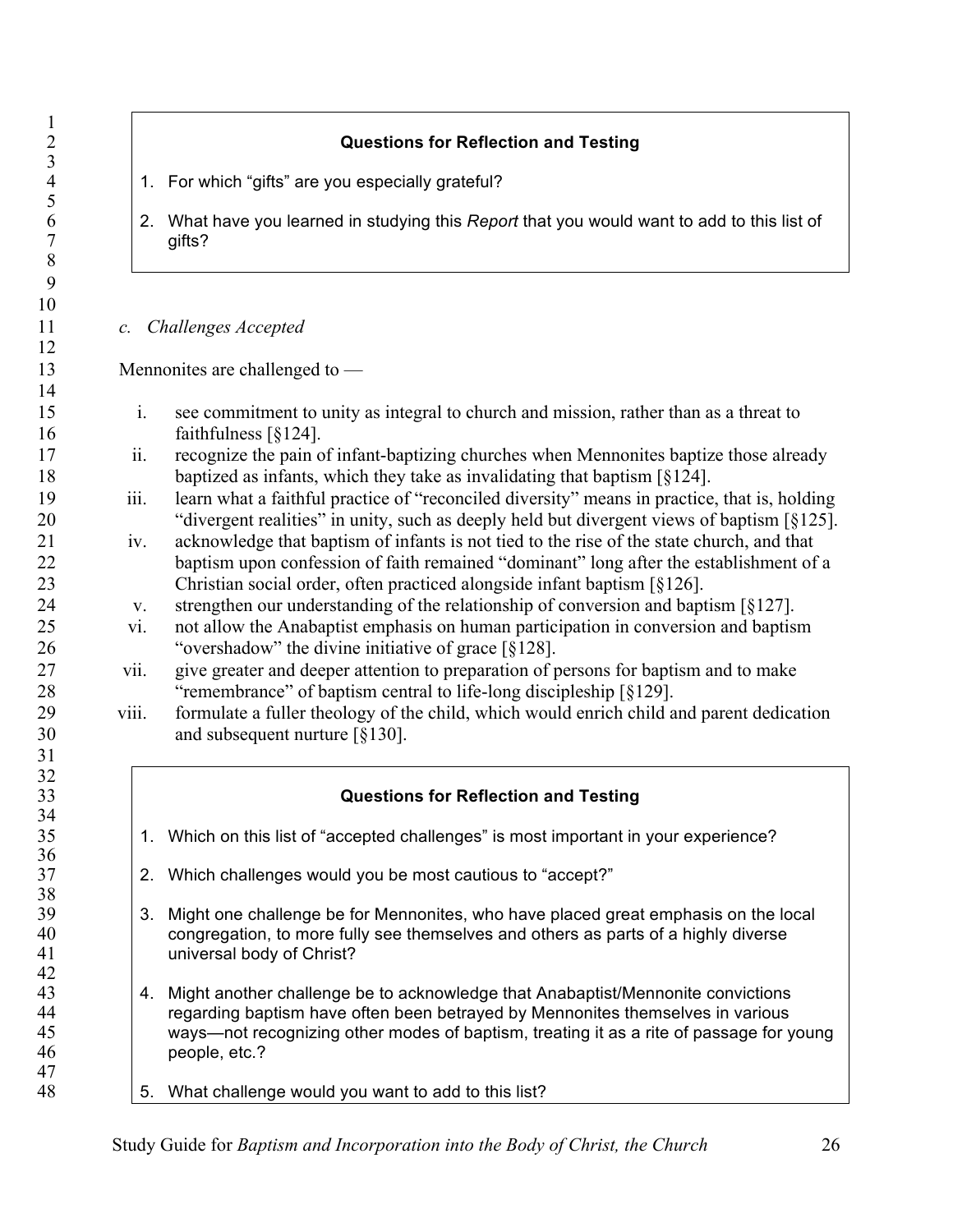|                 | <b>Questions for Reflection and Testing</b>                                                                                                                                                |
|-----------------|--------------------------------------------------------------------------------------------------------------------------------------------------------------------------------------------|
|                 |                                                                                                                                                                                            |
| 1.              | For which "gifts" are you especially grateful?                                                                                                                                             |
|                 | 2. What have you learned in studying this Report that you would want to add to this list of<br>gifts?                                                                                      |
| $\mathcal{C}$ . | <b>Challenges Accepted</b>                                                                                                                                                                 |
|                 | Mennonites are challenged to $-$                                                                                                                                                           |
|                 |                                                                                                                                                                                            |
| i.              | see commitment to unity as integral to church and mission, rather than as a threat to<br>faithfulness $\lceil \S 124 \rceil$ .                                                             |
| ii.             | recognize the pain of infant-baptizing churches when Mennonites baptize those already<br>baptized as infants, which they take as invalidating that baptism $\lceil \S 124 \rceil$ .        |
| iii.            | learn what a faithful practice of "reconciled diversity" means in practice, that is, holding<br>"divergent realities" in unity, such as deeply held but divergent views of baptism [§125]. |
| iv.             | acknowledge that baptism of infants is not tied to the rise of the state church, and that                                                                                                  |
|                 | baptism upon confession of faith remained "dominant" long after the establishment of a<br>Christian social order, often practiced alongside infant baptism $\lceil \S 126 \rceil$ .        |
| V.<br>vi.       | strengthen our understanding of the relationship of conversion and baptism [§127].<br>not allow the Anabaptist emphasis on human participation in conversion and baptism                   |
| vii.            | "overshadow" the divine initiative of grace [§128].<br>give greater and deeper attention to preparation of persons for baptism and to make                                                 |
| viii.           | "remembrance" of baptism central to life-long discipleship [§129].<br>formulate a fuller theology of the child, which would enrich child and parent dedication                             |
|                 | and subsequent nurture $\lceil \S 130 \rceil$ .                                                                                                                                            |
|                 |                                                                                                                                                                                            |
|                 | <b>Questions for Reflection and Testing</b>                                                                                                                                                |
| 1.              | Which on this list of "accepted challenges" is most important in your experience?                                                                                                          |
| 2.              | Which challenges would you be most cautious to "accept?"                                                                                                                                   |
| 3.              | Might one challenge be for Mennonites, who have placed great emphasis on the local<br>congregation, to more fully see themselves and others as parts of a highly diverse                   |
|                 | universal body of Christ?                                                                                                                                                                  |
| 4.              | Might another challenge be to acknowledge that Anabaptist/Mennonite convictions<br>regarding baptism have often been betrayed by Mennonites themselves in various                          |
|                 | ways—not recognizing other modes of baptism, treating it as a rite of passage for young<br>people, etc.?                                                                                   |
| 5.              | What challenge would you want to add to this list?                                                                                                                                         |
|                 |                                                                                                                                                                                            |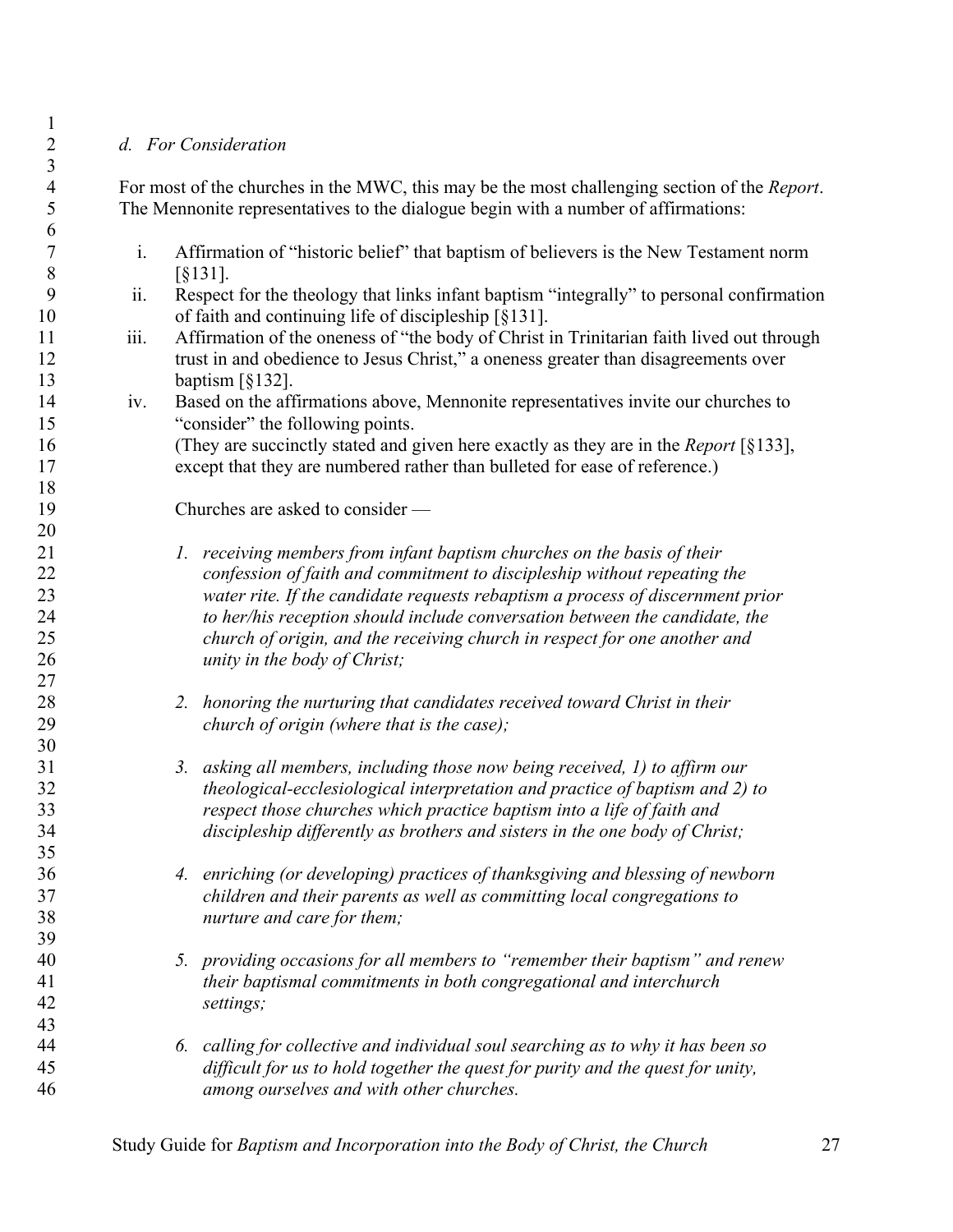### *d. For Consideration*

 For most of the churches in the MWC, this may be the most challenging section of the *Report*. The Mennonite representatives to the dialogue begin with a number of affirmations:

- i. Affirmation of "historic belief" that baptism of believers is the New Testament norm 8 [§131].
- ii. Respect for the theology that links infant baptism "integrally" to personal confirmation 10 of faith and continuing life of discipleship [§131].
- iii. Affirmation of the oneness of "the body of Christ in Trinitarian faith lived out through trust in and obedience to Jesus Christ," a oneness greater than disagreements over baptism [§132].
- iv. Based on the affirmations above, Mennonite representatives invite our churches to "consider" the following points.

 (They are succinctly stated and given here exactly as they are in the *Report* [§133], except that they are numbered rather than bulleted for ease of reference.)

Churches are asked to consider —

- *1. receiving members from infant baptism churches on the basis of their confession of faith and commitment to discipleship without repeating the water rite. If the candidate requests rebaptism a process of discernment prior to her/his reception should include conversation between the candidate, the church of origin, and the receiving church in respect for one another and unity in the body of Christ;*
- *2. honoring the nurturing that candidates received toward Christ in their church of origin (where that is the case);*
- *3. asking all members, including those now being received, 1) to affirm our theological-ecclesiological interpretation and practice of baptism and 2) to respect those churches which practice baptism into a life of faith and discipleship differently as brothers and sisters in the one body of Christ;*
- *4. enriching (or developing) practices of thanksgiving and blessing of newborn children and their parents as well as committing local congregations to nurture and care for them;*
- *5. providing occasions for all members to "remember their baptism" and renew their baptismal commitments in both congregational and interchurch settings;*
- *6. calling for collective and individual soul searching as to why it has been so difficult for us to hold together the quest for purity and the quest for unity, among ourselves and with other churches.*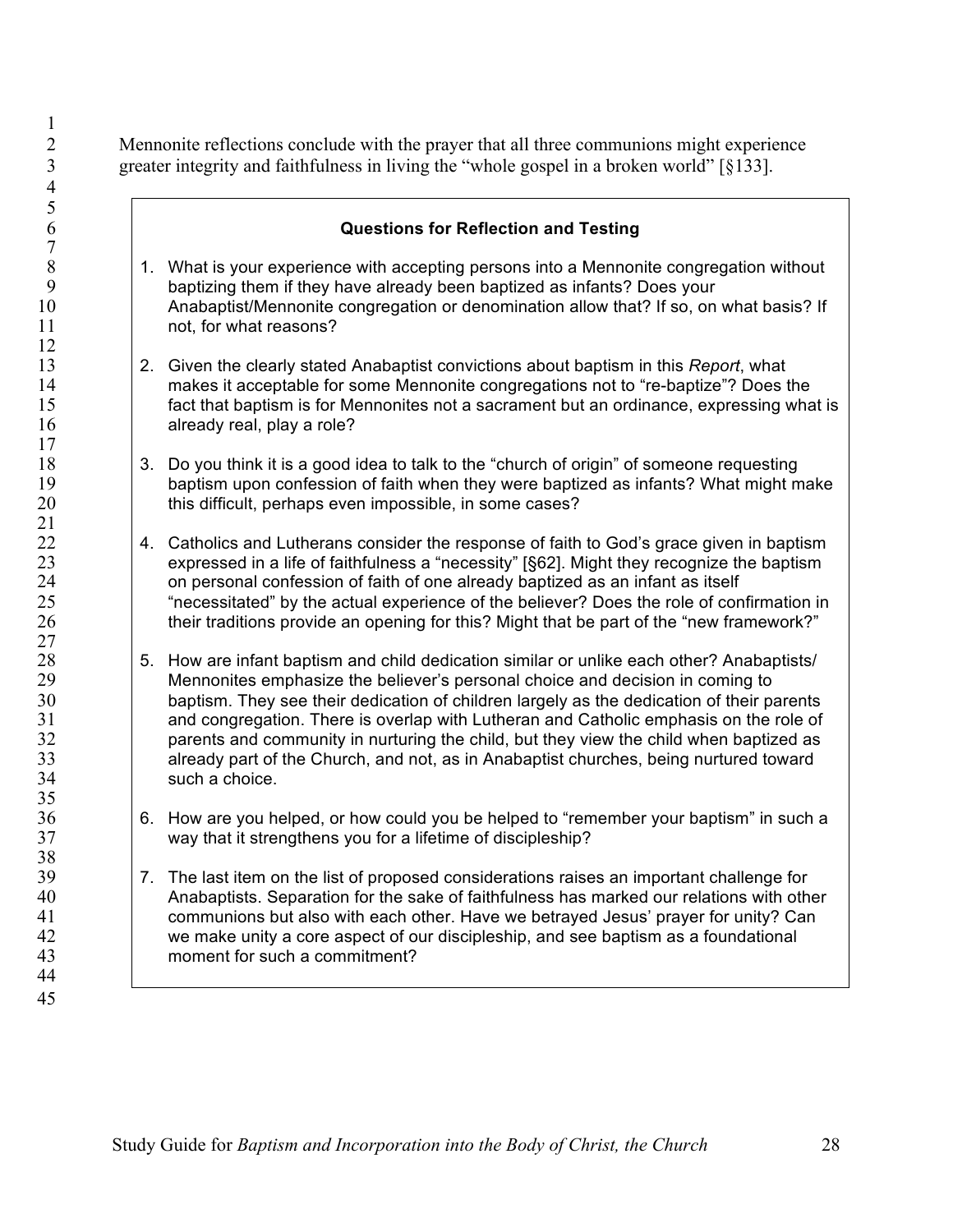Mennonite reflections conclude with the prayer that all three communions might experience greater integrity and faithfulness in living the "whole gospel in a broken world" [§133].

# 8 1. What is your experience with accepting persons into a Mennonite congregation without be happenduced by the band of the band of the band of the band of the band of the band of the band of the band of the band of the ba baptizing them if they have already been baptized as infants? Does your Anabaptist/Mennonite congregation or denomination allow that? If so, on what basis? If **hot, for what reasons?**

- 13 2. Given the clearly stated Anabaptist convictions about baptism in this *Report*, what<br>14 makes it acceptable for some Mennonite congregations not to "re-baptize"? Does t makes it acceptable for some Mennonite congregations not to "re-baptize"? Does the fact that baptism is for Mennonites not a sacrament but an ordinance, expressing what is **already real, play a role?**
- 18 18 3. Do you think it is a good idea to talk to the "church of origin" of someone requesting<br>19 19 baptism upon confession of faith when they were baptized as infants? What might m baptism upon confession of faith when they were baptized as infants? What might make 20 hthis difficult, perhaps even impossible, in some cases?
- 4. Catholics and Lutherans consider the response of faith to God's grace given in baptism 23 expressed in a life of faithfulness a "necessity" [§62]. Might they recognize the baptism<br>24 on personal confession of faith of one already baptized as an infant as itself 24 on personal confession of faith of one already baptized as an infant as itself<br>25 finecessitated" by the actual experience of the believer? Does the role of con "necessitated" by the actual experience of the believer? Does the role of confirmation in 26 their traditions provide an opening for this? Might that be part of the "new framework?"
- 28 5. How are infant baptism and child dedication similar or unlike each other? Anabaptists/<br>29 Mennonites emphasize the believer's personal choice and decision in coming to Mennonites emphasize the believer's personal choice and decision in coming to baptism. They see their dedication of children largely as the dedication of their parents and congregation. There is overlap with Lutheran and Catholic emphasis on the role of **parents and community in nurturing the child, but they view the child when baptized as** 33 already part of the Church, and not, as in Anabaptist churches, being nurtured toward<br>34 such a choice. such a choice.
- 6. How are you helped, or how could you be helped to "remember your baptism" in such a way that it strengthens you for a lifetime of discipleship?
- 39 7. The last item on the list of proposed considerations raises an important challenge for Anabaptists. Separation for the sake of faithfulness has marked our relations with other communions but also with each other. Have we betrayed Jesus' prayer for unity? Can we make unity a core aspect of our discipleship, and see baptism as a foundational moment for such a commitment?

 **Questions for Reflection and Testing**  $\frac{7}{8}$   $\frac{21}{22}$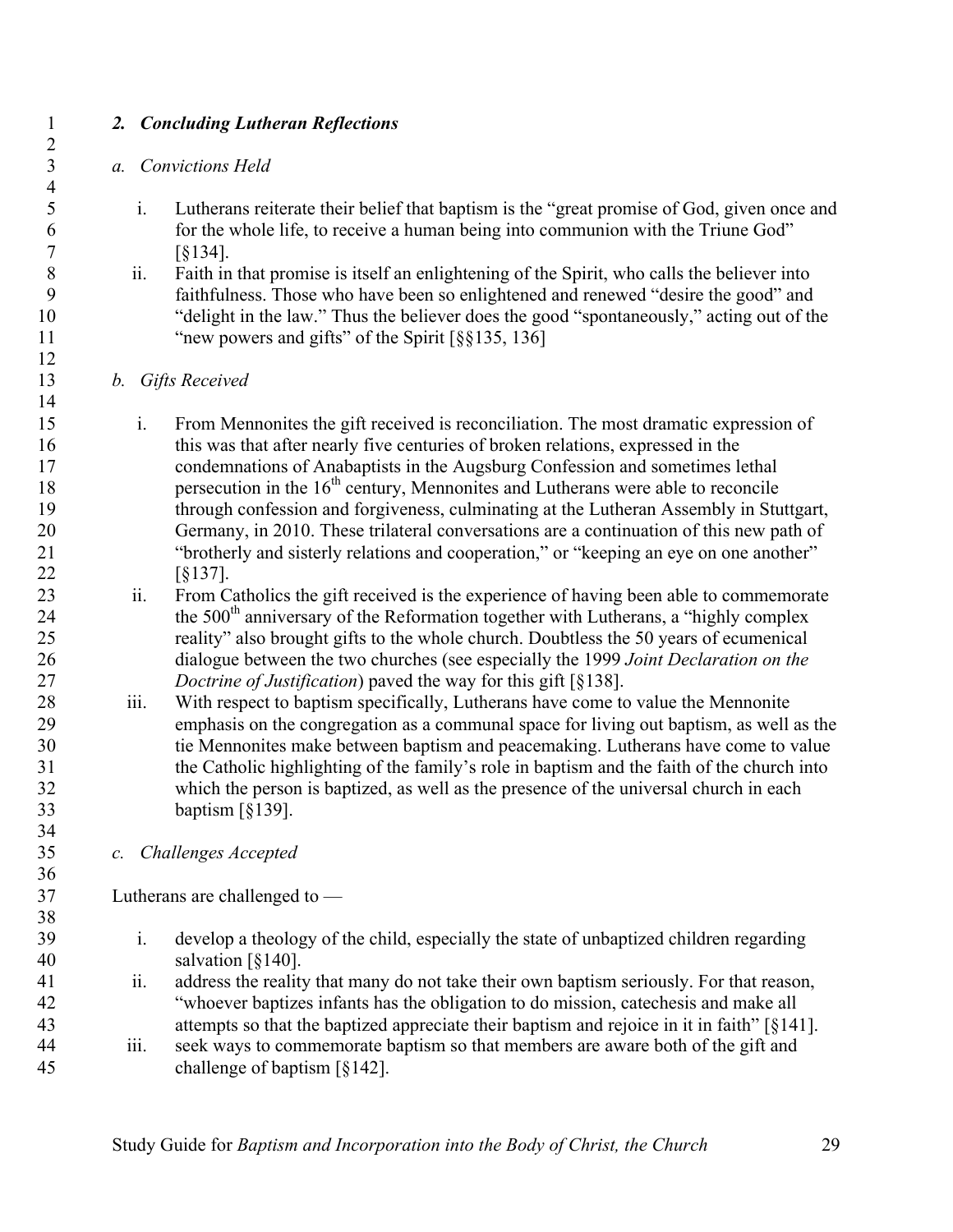# *2. Concluding Lutheran Reflections*

#### *a. Convictions Held*

- i. Lutherans reiterate their belief that baptism is the "great promise of God, given once and for the whole life, to receive a human being into communion with the Triune God" [§134].
- ii. Faith in that promise is itself an enlightening of the Spirit, who calls the believer into faithfulness. Those who have been so enlightened and renewed "desire the good" and "delight in the law." Thus the believer does the good "spontaneously," acting out of the 11 "new powers and gifts" of the Spirit [§§135, 136]

#### *b. Gifts Received*

- i. From Mennonites the gift received is reconciliation. The most dramatic expression of this was that after nearly five centuries of broken relations, expressed in the condemnations of Anabaptists in the Augsburg Confession and sometimes lethal 18 persecution in the  $16<sup>th</sup>$  century, Mennonites and Lutherans were able to reconcile through confession and forgiveness, culminating at the Lutheran Assembly in Stuttgart, Germany, in 2010. These trilateral conversations are a continuation of this new path of "brotherly and sisterly relations and cooperation," or "keeping an eye on one another" [§137].
- ii. From Catholics the gift received is the experience of having been able to commemorate 24 the 500<sup>th</sup> anniversary of the Reformation together with Lutherans, a "highly complex" reality" also brought gifts to the whole church. Doubtless the 50 years of ecumenical dialogue between the two churches (see especially the 1999 *Joint Declaration on the Doctrine of Justification*) paved the way for this gift [§138].
- iii. With respect to baptism specifically, Lutherans have come to value the Mennonite emphasis on the congregation as a communal space for living out baptism, as well as the tie Mennonites make between baptism and peacemaking. Lutherans have come to value the Catholic highlighting of the family's role in baptism and the faith of the church into which the person is baptized, as well as the presence of the universal church in each baptism [§139].
- *c. Challenges Accepted*

Lutherans are challenged to —

- i. develop a theology of the child, especially the state of unbaptized children regarding salvation [§140].
- ii. address the reality that many do not take their own baptism seriously. For that reason, "whoever baptizes infants has the obligation to do mission, catechesis and make all attempts so that the baptized appreciate their baptism and rejoice in it in faith" [§141].
- iii. seek ways to commemorate baptism so that members are aware both of the gift and challenge of baptism [§142].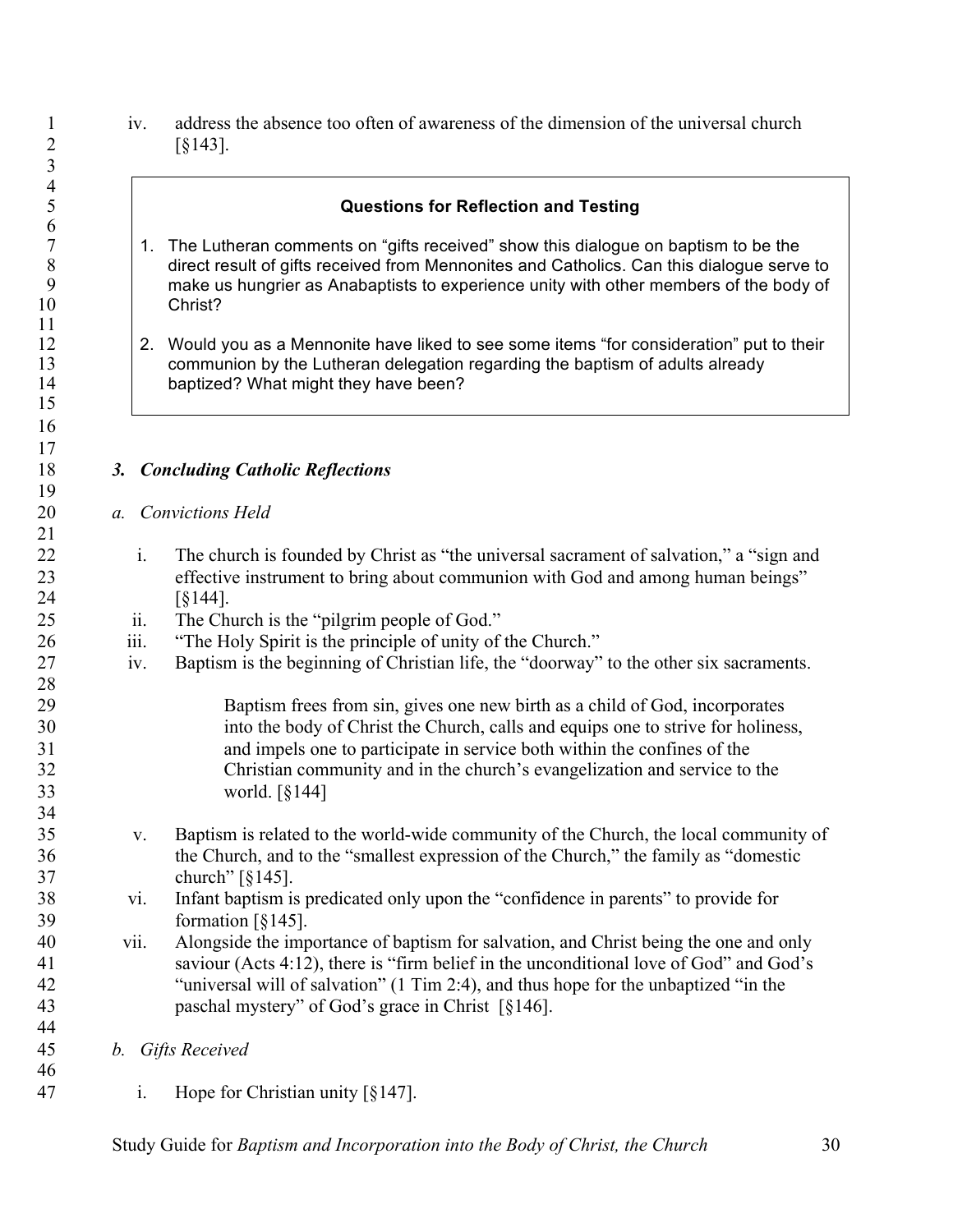iv. address the absence too often of awareness of the dimension of the universal church  $[§143]$ .

 

 $\begin{array}{c} 11 \\ 12 \end{array}$ 

 

 *a. Convictions Held*

 $\frac{21}{22}$ 

 $\frac{24}{25}$ 

 $\frac{28}{29}$ 

34<br>35

 *b. Gifts Received* 

|      | <b>Questions for Reflection and Testing</b>                                                                                                                                                                                                                                                                                               |
|------|-------------------------------------------------------------------------------------------------------------------------------------------------------------------------------------------------------------------------------------------------------------------------------------------------------------------------------------------|
| 1.   | The Lutheran comments on "gifts received" show this dialogue on baptism to be the<br>direct result of gifts received from Mennonites and Catholics. Can this dialogue serve to<br>make us hungrier as Anabaptists to experience unity with other members of the body of<br>Christ?                                                        |
| 2.   | Would you as a Mennonite have liked to see some items "for consideration" put to their<br>communion by the Lutheran delegation regarding the baptism of adults already<br>baptized? What might they have been?                                                                                                                            |
|      |                                                                                                                                                                                                                                                                                                                                           |
| 3.   | <b>Concluding Catholic Reflections</b>                                                                                                                                                                                                                                                                                                    |
| a.   | <b>Convictions Held</b>                                                                                                                                                                                                                                                                                                                   |
| i.   | The church is founded by Christ as "the universal sacrament of salvation," a "sign and<br>effective instrument to bring about communion with God and among human beings"<br>$\left[ \S 144 \right]$ .                                                                                                                                     |
| ii.  | The Church is the "pilgrim people of God."                                                                                                                                                                                                                                                                                                |
| 111. | "The Holy Spirit is the principle of unity of the Church."                                                                                                                                                                                                                                                                                |
| iv.  | Baptism is the beginning of Christian life, the "doorway" to the other six sacraments.                                                                                                                                                                                                                                                    |
|      | Baptism frees from sin, gives one new birth as a child of God, incorporates<br>into the body of Christ the Church, calls and equips one to strive for holiness,<br>and impels one to participate in service both within the confines of the<br>Christian community and in the church's evangelization and service to the<br>world. [§144] |
| V.   | Baptism is related to the world-wide community of the Church, the local community of<br>the Church, and to the "smallest expression of the Church," the family as "domestic<br>church" $\lceil \S 145 \rceil$ .                                                                                                                           |
| vi.  | Infant baptism is predicated only upon the "confidence in parents" to provide for<br>formation $\lceil \xi 145 \rceil$ .                                                                                                                                                                                                                  |
| vii. | Alongside the importance of baptism for salvation, and Christ being the one and only<br>saviour (Acts 4:12), there is "firm belief in the unconditional love of God" and God's<br>"universal will of salvation" (1 Tim 2:4), and thus hope for the unbaptized "in the<br>paschal mystery" of God's grace in Christ [§146].                |
| b.   | <b>Gifts Received</b>                                                                                                                                                                                                                                                                                                                     |
| 1.   | Hope for Christian unity $\lceil \frac{6}{3} \cdot 147 \rceil$ .                                                                                                                                                                                                                                                                          |
|      |                                                                                                                                                                                                                                                                                                                                           |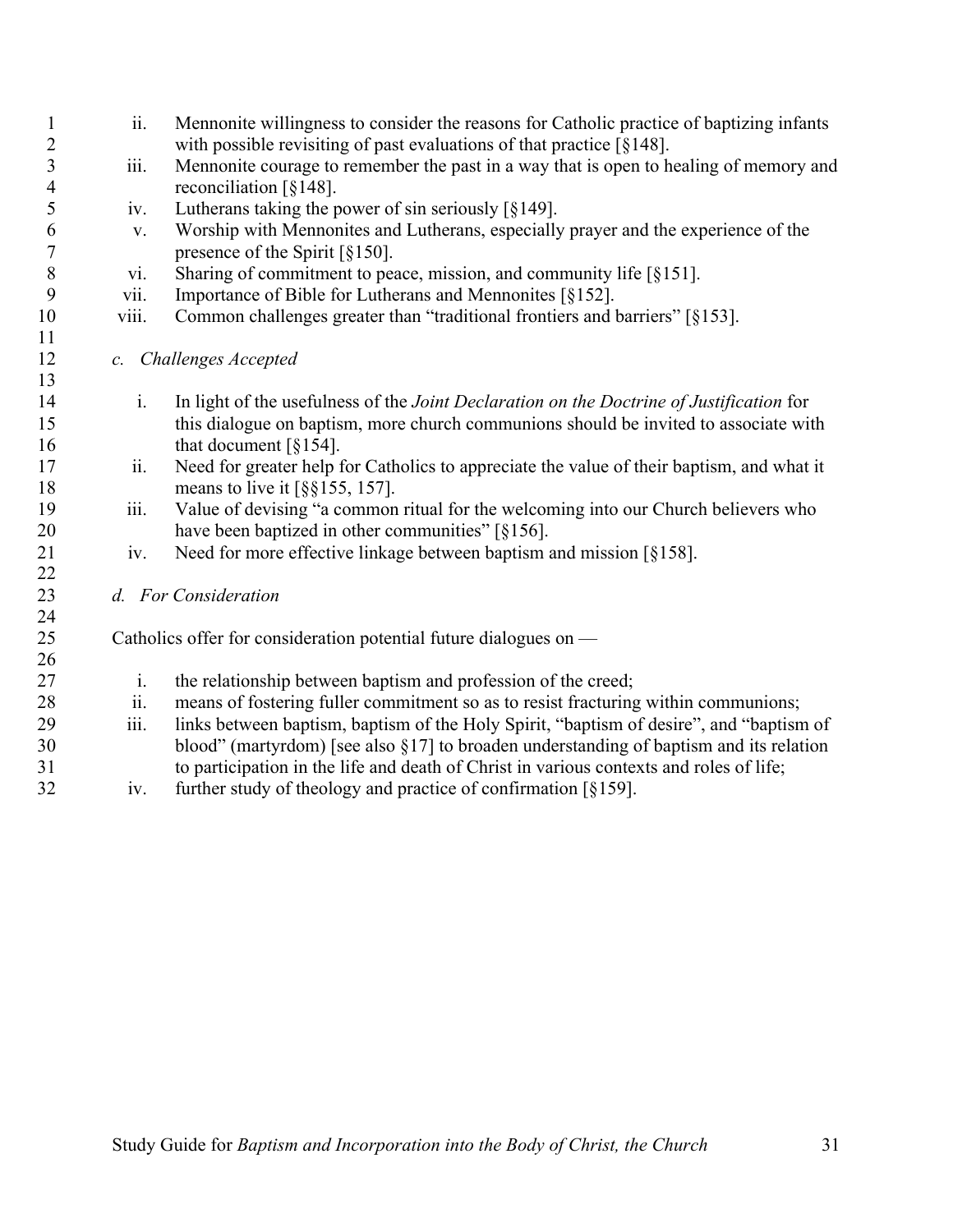- ii. Mennonite willingness to consider the reasons for Catholic practice of baptizing infants 2 with possible revisiting of past evaluations of that practice [§148].
- iii. Mennonite courage to remember the past in a way that is open to healing of memory and reconciliation [§148].
- iv. Lutherans taking the power of sin seriously [§149].
- v. Worship with Mennonites and Lutherans, especially prayer and the experience of the presence of the Spirit [§150].
- vi. Sharing of commitment to peace, mission, and community life [§151].
- vii. Importance of Bible for Lutherans and Mennonites [§152].
- 10 viii. Common challenges greater than "traditional frontiers and barriers" [§153].
- *c. Challenges Accepted*

- i. In light of the usefulness of the *Joint Declaration on the Doctrine of Justification* for this dialogue on baptism, more church communions should be invited to associate with 16 that document  $\lceil \xi \cdot 154 \rceil$ .
- ii. Need for greater help for Catholics to appreciate the value of their baptism, and what it 18 means to live it [§§155, 157].
- 19 iii. Value of devising "a common ritual for the welcoming into our Church believers who 20 have been baptized in other communities" [§156].
- iv. Need for more effective linkage between baptism and mission [§158].
- *d. For Consideration*

Catholics offer for consideration potential future dialogues on —

- i. the relationship between baptism and profession of the creed;
- 28 ii. means of fostering fuller commitment so as to resist fracturing within communions;
- iii. links between baptism, baptism of the Holy Spirit, "baptism of desire", and "baptism of blood" (martyrdom) [see also §17] to broaden understanding of baptism and its relation to participation in the life and death of Christ in various contexts and roles of life;
- iv. further study of theology and practice of confirmation [§159].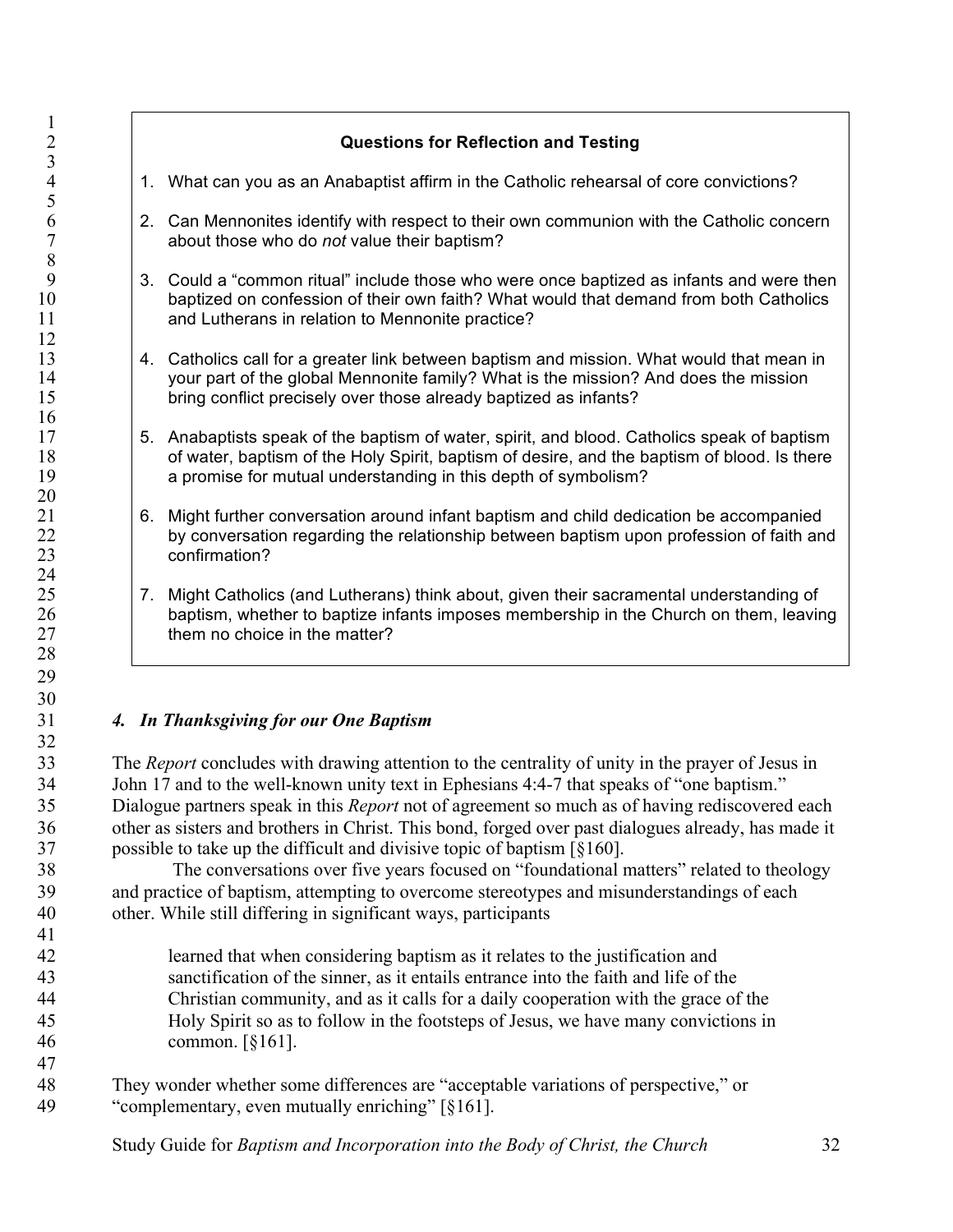|    | <b>Questions for Reflection and Testing</b>                                                                                                                                                                                                                  |
|----|--------------------------------------------------------------------------------------------------------------------------------------------------------------------------------------------------------------------------------------------------------------|
|    | 1. What can you as an Anabaptist affirm in the Catholic rehearsal of core convictions?                                                                                                                                                                       |
|    | 2. Can Mennonites identify with respect to their own communion with the Catholic concern<br>about those who do not value their baptism?                                                                                                                      |
|    | 3. Could a "common ritual" include those who were once baptized as infants and were then<br>baptized on confession of their own faith? What would that demand from both Catholics<br>and Lutherans in relation to Mennonite practice?                        |
| 4. | Catholics call for a greater link between baptism and mission. What would that mean in<br>your part of the global Mennonite family? What is the mission? And does the mission<br>bring conflict precisely over those already baptized as infants?            |
|    | 5. Anabaptists speak of the baptism of water, spirit, and blood. Catholics speak of baptism<br>of water, baptism of the Holy Spirit, baptism of desire, and the baptism of blood. Is there<br>a promise for mutual understanding in this depth of symbolism? |
| 6. | Might further conversation around infant baptism and child dedication be accompanied<br>by conversation regarding the relationship between baptism upon profession of faith and<br>confirmation?                                                             |
|    | 7. Might Catholics (and Lutherans) think about, given their sacramental understanding of<br>baptism, whether to baptize infants imposes membership in the Church on them, leaving<br>them no choice in the matter?                                           |
|    | 4. In Thanksgiving for our One Baptism                                                                                                                                                                                                                       |
|    | The Report concludes with drawing attention to the centrality of unity in the prayer of Jesus in                                                                                                                                                             |
|    | John 17 and to the well-known unity text in Ephesians 4:4-7 that speaks of "one baptism."                                                                                                                                                                    |
|    | Dialogue partners speak in this Report not of agreement so much as of having rediscovered each                                                                                                                                                               |
|    | other as sisters and brothers in Christ. This bond, forged over past dialogues already, has made it                                                                                                                                                          |
|    | possible to take up the difficult and divisive topic of baptism [§160].<br>The conversations over five years focused on "foundational matters" related to theology                                                                                           |
|    | and practice of baptism, attempting to overcome stereotypes and misunderstandings of each                                                                                                                                                                    |
|    | other. While still differing in significant ways, participants                                                                                                                                                                                               |
|    |                                                                                                                                                                                                                                                              |
|    | learned that when considering baptism as it relates to the justification and                                                                                                                                                                                 |
|    | sanctification of the sinner, as it entails entrance into the faith and life of the                                                                                                                                                                          |
|    | Christian community, and as it calls for a daily cooperation with the grace of the                                                                                                                                                                           |

- Holy Spirit so as to follow in the footsteps of Jesus, we have many convictions in common. [§161].
- They wonder whether some differences are "acceptable variations of perspective," or "complementary, even mutually enriching" [§161].